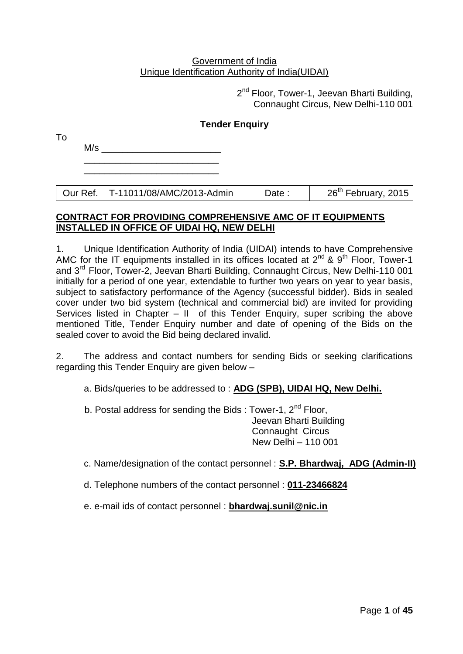#### Government of India Unique Identification Authority of India(UIDAI)

2<sup>nd</sup> Floor, Tower-1, Jeevan Bharti Building, Connaught Circus, New Delhi-110 001

# **Tender Enquiry**

| To |     |  |  |  |  |
|----|-----|--|--|--|--|
|    | M/s |  |  |  |  |
|    |     |  |  |  |  |

Our Ref. | T-11011/08/AMC/2013-Admin | Date : | 26<sup>th</sup> February, 2015

### **CONTRACT FOR PROVIDING COMPREHENSIVE AMC OF IT EQUIPMENTS INSTALLED IN OFFICE OF UIDAI HQ, NEW DELHI**

1. Unique Identification Authority of India (UIDAI) intends to have Comprehensive AMC for the IT equipments installed in its offices located at  $2^{nd}$  &  $9^{th}$  Floor, Tower-1 and 3rd Floor, Tower-2, Jeevan Bharti Building, Connaught Circus, New Delhi-110 001 initially for a period of one year, extendable to further two years on year to year basis, subject to satisfactory performance of the Agency (successful bidder). Bids in sealed cover under two bid system (technical and commercial bid) are invited for providing Services listed in Chapter – II of this Tender Enquiry, super scribing the above mentioned Title, Tender Enquiry number and date of opening of the Bids on the sealed cover to avoid the Bid being declared invalid.

2. The address and contact numbers for sending Bids or seeking clarifications regarding this Tender Enquiry are given below –

a. Bids/queries to be addressed to : **ADG (SPB), UIDAI HQ, New Delhi.**

b. Postal address for sending the Bids : Tower-1,  $2<sup>nd</sup>$  Floor, Jeevan Bharti Building Connaught Circus New Delhi – 110 001

c. Name/designation of the contact personnel : **S.P. Bhardwaj, ADG (Admin-II)**

d. Telephone numbers of the contact personnel : **011-23466824**

e. e-mail ids of contact personnel : **[bhardwaj.sunil@nic.in](mailto:bhardwaj.sunil@nic.in)**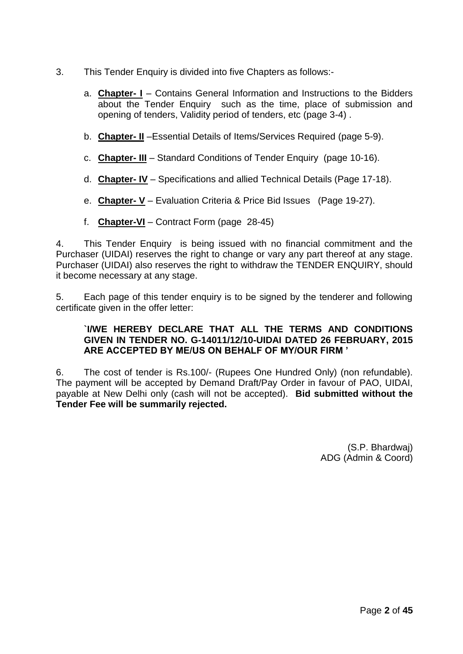- 3. This Tender Enquiry is divided into five Chapters as follows:
	- a. **Chapter- I** Contains General Information and Instructions to the Bidders about the Tender Enquiry such as the time, place of submission and opening of tenders, Validity period of tenders, etc (page 3-4) .
	- b. **Chapter- II** –Essential Details of Items/Services Required (page 5-9).
	- c. **Chapter- III** Standard Conditions of Tender Enquiry (page 10-16).
	- d. **Chapter- IV** Specifications and allied Technical Details (Page 17-18).
	- e. **Chapter- V** Evaluation Criteria & Price Bid Issues (Page 19-27).
	- f. **Chapter-VI** Contract Form (page 28-45)

4. This Tender Enquiry is being issued with no financial commitment and the Purchaser (UIDAI) reserves the right to change or vary any part thereof at any stage. Purchaser (UIDAI) also reserves the right to withdraw the TENDER ENQUIRY, should it become necessary at any stage.

5. Each page of this tender enquiry is to be signed by the tenderer and following certificate given in the offer letter:

#### **`I/WE HEREBY DECLARE THAT ALL THE TERMS AND CONDITIONS GIVEN IN TENDER NO. G-14011/12/10-UIDAI DATED 26 FEBRUARY, 2015 ARE ACCEPTED BY ME/US ON BEHALF OF MY/OUR FIRM '**

6. The cost of tender is Rs.100/- (Rupees One Hundred Only) (non refundable). The payment will be accepted by Demand Draft/Pay Order in favour of PAO, UIDAI, payable at New Delhi only (cash will not be accepted). **Bid submitted without the Tender Fee will be summarily rejected.**

> (S.P. Bhardwaj) ADG (Admin & Coord)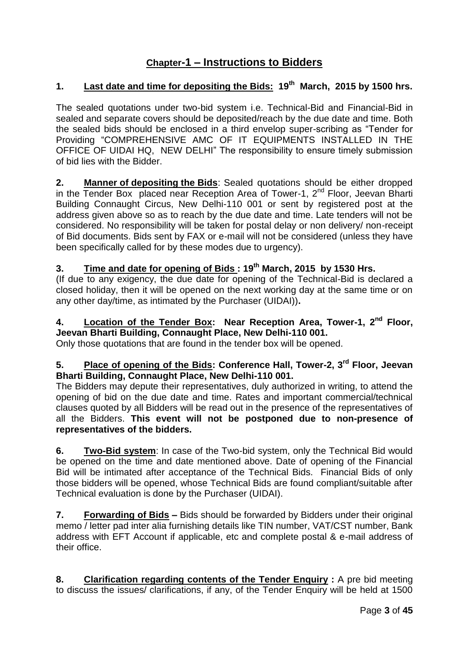# **Chapter-1 – Instructions to Bidders**

# **1. Last date and time for depositing the Bids: 19th March, 2015 by 1500 hrs.**

The sealed quotations under two-bid system i.e. Technical-Bid and Financial-Bid in sealed and separate covers should be deposited/reach by the due date and time. Both the sealed bids should be enclosed in a third envelop super-scribing as "Tender for Providing "COMPREHENSIVE AMC OF IT EQUIPMENTS INSTALLED IN THE OFFICE OF UIDAI HQ, NEW DELHI" The responsibility to ensure timely submission of bid lies with the Bidder.

**2. Manner of depositing the Bids**: Sealed quotations should be either dropped in the Tender Box placed near Reception Area of Tower-1,  $2^{nd}$  Floor, Jeevan Bharti Building Connaught Circus, New Delhi-110 001 or sent by registered post at the address given above so as to reach by the due date and time. Late tenders will not be considered. No responsibility will be taken for postal delay or non delivery/ non-receipt of Bid documents. Bids sent by FAX or e-mail will not be considered (unless they have been specifically called for by these modes due to urgency).

# **3. Time and date for opening of Bids : 19th March, 2015 by 1530 Hrs.**

(If due to any exigency, the due date for opening of the Technical-Bid is declared a closed holiday, then it will be opened on the next working day at the same time or on any other day/time, as intimated by the Purchaser (UIDAI))**.** 

# **4. Location of the Tender Box: Near Reception Area, Tower-1, 2nd Floor, Jeevan Bharti Building, Connaught Place, New Delhi-110 001.**

Only those quotations that are found in the tender box will be opened.

# **5. Place of opening of the Bids: Conference Hall, Tower-2, 3rd Floor, Jeevan Bharti Building, Connaught Place, New Delhi-110 001.**

The Bidders may depute their representatives, duly authorized in writing, to attend the opening of bid on the due date and time. Rates and important commercial/technical clauses quoted by all Bidders will be read out in the presence of the representatives of all the Bidders. **This event will not be postponed due to non-presence of representatives of the bidders.**

**6. Two-Bid system**: In case of the Two-bid system, only the Technical Bid would be opened on the time and date mentioned above. Date of opening of the Financial Bid will be intimated after acceptance of the Technical Bids. Financial Bids of only those bidders will be opened, whose Technical Bids are found compliant/suitable after Technical evaluation is done by the Purchaser (UIDAI).

**7. Forwarding of Bids –** Bids should be forwarded by Bidders under their original memo / letter pad inter alia furnishing details like TIN number, VAT/CST number, Bank address with EFT Account if applicable, etc and complete postal & e-mail address of their office.

**8. Clarification regarding contents of the Tender Enquiry :** A pre bid meeting to discuss the issues/ clarifications, if any, of the Tender Enquiry will be held at 1500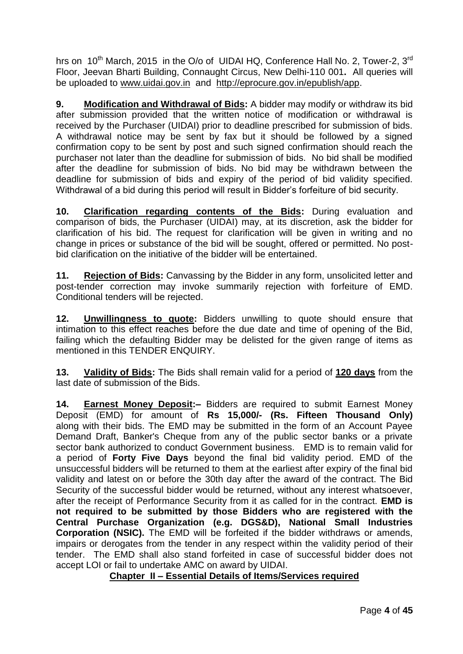hrs on 10<sup>th</sup> March, 2015 in the O/o of UIDAI HQ, Conference Hall No. 2, Tower-2, 3<sup>rd</sup> Floor, Jeevan Bharti Building, Connaught Circus, New Delhi-110 001**.** All queries will be uploaded to [www.uidai.gov.in](http://www.uidai.gov.in/) and http://eprocure.gov.in/epublish/app.

**9. Modification and Withdrawal of Bids:** A bidder may modify or withdraw its bid after submission provided that the written notice of modification or withdrawal is received by the Purchaser (UIDAI) prior to deadline prescribed for submission of bids. A withdrawal notice may be sent by fax but it should be followed by a signed confirmation copy to be sent by post and such signed confirmation should reach the purchaser not later than the deadline for submission of bids. No bid shall be modified after the deadline for submission of bids. No bid may be withdrawn between the deadline for submission of bids and expiry of the period of bid validity specified. Withdrawal of a bid during this period will result in Bidder"s forfeiture of bid security.

**10. Clarification regarding contents of the Bids:** During evaluation and comparison of bids, the Purchaser (UIDAI) may, at its discretion, ask the bidder for clarification of his bid. The request for clarification will be given in writing and no change in prices or substance of the bid will be sought, offered or permitted. No postbid clarification on the initiative of the bidder will be entertained.

**11. Rejection of Bids:** Canvassing by the Bidder in any form, unsolicited letter and post-tender correction may invoke summarily rejection with forfeiture of EMD. Conditional tenders will be rejected.

**12. Unwillingness to quote:** Bidders unwilling to quote should ensure that intimation to this effect reaches before the due date and time of opening of the Bid, failing which the defaulting Bidder may be delisted for the given range of items as mentioned in this TENDER ENQUIRY.

**13. Validity of Bids:** The Bids shall remain valid for a period of **120 days** from the last date of submission of the Bids.

**14. Earnest Money Deposit:–** Bidders are required to submit Earnest Money Deposit (EMD) for amount of **Rs 15,000/- (Rs. Fifteen Thousand Only)**  along with their bids. The EMD may be submitted in the form of an Account Payee Demand Draft, Banker's Cheque from any of the public sector banks or a private sector bank authorized to conduct Government business. EMD is to remain valid for a period of **Forty Five Days** beyond the final bid validity period. EMD of the unsuccessful bidders will be returned to them at the earliest after expiry of the final bid validity and latest on or before the 30th day after the award of the contract. The Bid Security of the successful bidder would be returned, without any interest whatsoever, after the receipt of Performance Security from it as called for in the contract. **EMD is not required to be submitted by those Bidders who are registered with the Central Purchase Organization (e.g. DGS&D), National Small Industries Corporation (NSIC).** The EMD will be forfeited if the bidder withdraws or amends, impairs or derogates from the tender in any respect within the validity period of their tender. The EMD shall also stand forfeited in case of successful bidder does not accept LOI or fail to undertake AMC on award by UIDAI.

# **Chapter II – Essential Details of Items/Services required**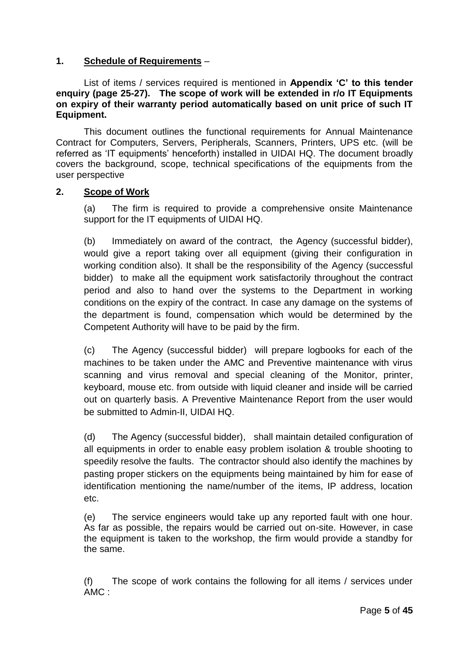# **1. Schedule of Requirements** –

List of items / services required is mentioned in **Appendix 'C' to this tender enquiry (page 25-27). The scope of work will be extended in r/o IT Equipments on expiry of their warranty period automatically based on unit price of such IT Equipment.**

This document outlines the functional requirements for Annual Maintenance Contract for Computers, Servers, Peripherals, Scanners, Printers, UPS etc. (will be referred as "IT equipments" henceforth) installed in UIDAI HQ. The document broadly covers the background, scope, technical specifications of the equipments from the user perspective

#### **2. Scope of Work**

(a) The firm is required to provide a comprehensive onsite Maintenance support for the IT equipments of UIDAI HQ.

(b) Immediately on award of the contract, the Agency (successful bidder), would give a report taking over all equipment (giving their configuration in working condition also). It shall be the responsibility of the Agency (successful bidder) to make all the equipment work satisfactorily throughout the contract period and also to hand over the systems to the Department in working conditions on the expiry of the contract. In case any damage on the systems of the department is found, compensation which would be determined by the Competent Authority will have to be paid by the firm.

(c) The Agency (successful bidder) will prepare logbooks for each of the machines to be taken under the AMC and Preventive maintenance with virus scanning and virus removal and special cleaning of the Monitor, printer, keyboard, mouse etc. from outside with liquid cleaner and inside will be carried out on quarterly basis. A Preventive Maintenance Report from the user would be submitted to Admin-II, UIDAI HQ.

(d) The Agency (successful bidder), shall maintain detailed configuration of all equipments in order to enable easy problem isolation & trouble shooting to speedily resolve the faults. The contractor should also identify the machines by pasting proper stickers on the equipments being maintained by him for ease of identification mentioning the name/number of the items, IP address, location etc.

(e) The service engineers would take up any reported fault with one hour. As far as possible, the repairs would be carried out on-site. However, in case the equipment is taken to the workshop, the firm would provide a standby for the same.

(f) The scope of work contains the following for all items / services under AMC :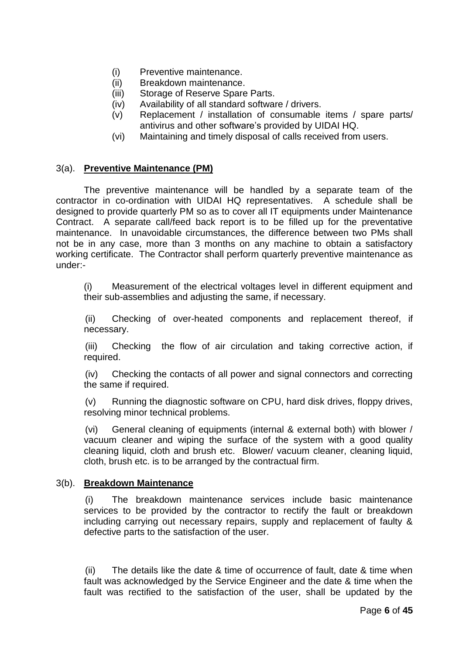- (i) Preventive maintenance.
- (ii) Breakdown maintenance.
- (iii) Storage of Reserve Spare Parts.
- (iv) Availability of all standard software / drivers.
- (v) Replacement / installation of consumable items / spare parts/ antivirus and other software"s provided by UIDAI HQ.
- (vi) Maintaining and timely disposal of calls received from users.

# 3(a). **Preventive Maintenance (PM)**

The preventive maintenance will be handled by a separate team of the contractor in co-ordination with UIDAI HQ representatives. A schedule shall be designed to provide quarterly PM so as to cover all IT equipments under Maintenance Contract. A separate call/feed back report is to be filled up for the preventative maintenance. In unavoidable circumstances, the difference between two PMs shall not be in any case, more than 3 months on any machine to obtain a satisfactory working certificate. The Contractor shall perform quarterly preventive maintenance as under:-

(i) Measurement of the electrical voltages level in different equipment and their sub-assemblies and adjusting the same, if necessary.

(ii) Checking of over-heated components and replacement thereof, if necessary.

(iii) Checking the flow of air circulation and taking corrective action, if required.

(iv) Checking the contacts of all power and signal connectors and correcting the same if required.

(v) Running the diagnostic software on CPU, hard disk drives, floppy drives, resolving minor technical problems.

(vi) General cleaning of equipments (internal & external both) with blower / vacuum cleaner and wiping the surface of the system with a good quality cleaning liquid, cloth and brush etc. Blower/ vacuum cleaner, cleaning liquid, cloth, brush etc. is to be arranged by the contractual firm.

#### 3(b). **Breakdown Maintenance**

(i) The breakdown maintenance services include basic maintenance services to be provided by the contractor to rectify the fault or breakdown including carrying out necessary repairs, supply and replacement of faulty & defective parts to the satisfaction of the user.

(ii) The details like the date & time of occurrence of fault, date & time when fault was acknowledged by the Service Engineer and the date & time when the fault was rectified to the satisfaction of the user, shall be updated by the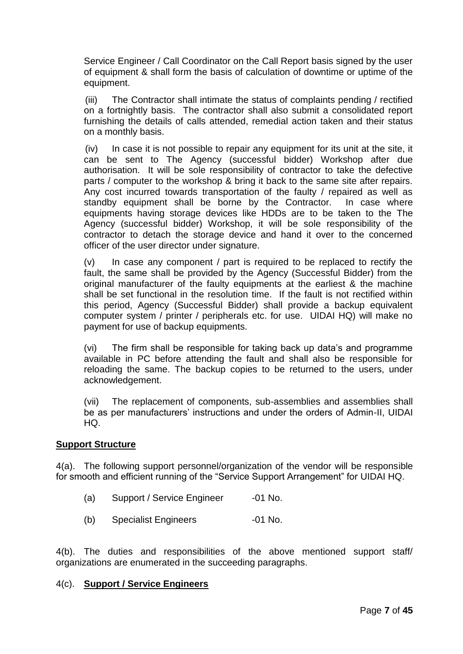Service Engineer / Call Coordinator on the Call Report basis signed by the user of equipment & shall form the basis of calculation of downtime or uptime of the equipment.

(iii) The Contractor shall intimate the status of complaints pending / rectified on a fortnightly basis. The contractor shall also submit a consolidated report furnishing the details of calls attended, remedial action taken and their status on a monthly basis.

(iv) In case it is not possible to repair any equipment for its unit at the site, it can be sent to The Agency (successful bidder) Workshop after due authorisation. It will be sole responsibility of contractor to take the defective parts / computer to the workshop & bring it back to the same site after repairs. Any cost incurred towards transportation of the faulty / repaired as well as standby equipment shall be borne by the Contractor. In case where equipments having storage devices like HDDs are to be taken to the The Agency (successful bidder) Workshop, it will be sole responsibility of the contractor to detach the storage device and hand it over to the concerned officer of the user director under signature.

 $(v)$  In case any component / part is required to be replaced to rectify the fault, the same shall be provided by the Agency (Successful Bidder) from the original manufacturer of the faulty equipments at the earliest & the machine shall be set functional in the resolution time. If the fault is not rectified within this period, Agency (Successful Bidder) shall provide a backup equivalent computer system / printer / peripherals etc. for use. UIDAI HQ) will make no payment for use of backup equipments.

(vi) The firm shall be responsible for taking back up data"s and programme available in PC before attending the fault and shall also be responsible for reloading the same. The backup copies to be returned to the users, under acknowledgement.

(vii) The replacement of components, sub-assemblies and assemblies shall be as per manufacturers' instructions and under the orders of Admin-II, UIDAI HQ.

#### **Support Structure**

4(a). The following support personnel/organization of the vendor will be responsible for smooth and efficient running of the "Service Support Arrangement" for UIDAI HQ.

- (a) Support / Service Engineer -01 No.
- (b) Specialist Engineers -01 No.

4(b). The duties and responsibilities of the above mentioned support staff/ organizations are enumerated in the succeeding paragraphs.

#### 4(c). **Support / Service Engineers**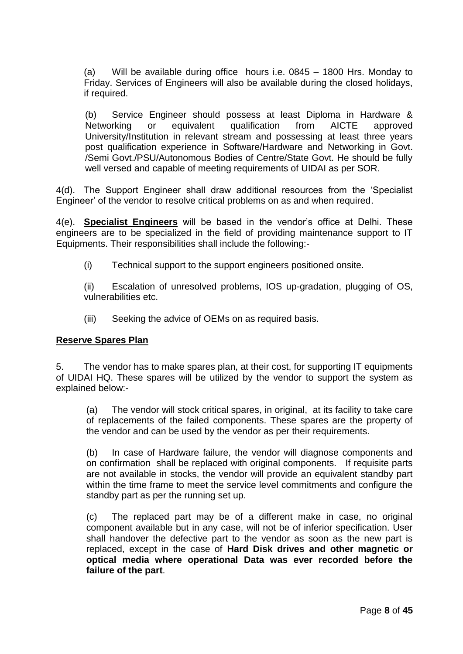(a) Will be available during office hours i.e. 0845 – 1800 Hrs. Monday to Friday. Services of Engineers will also be available during the closed holidays, if required.

(b) Service Engineer should possess at least Diploma in Hardware & Networking or equivalent qualification from AICTE approved University/Institution in relevant stream and possessing at least three years post qualification experience in Software/Hardware and Networking in Govt. /Semi Govt./PSU/Autonomous Bodies of Centre/State Govt. He should be fully well versed and capable of meeting requirements of UIDAI as per SOR.

4(d). The Support Engineer shall draw additional resources from the "Specialist Engineer" of the vendor to resolve critical problems on as and when required.

4(e). **Specialist Engineers** will be based in the vendor"s office at Delhi. These engineers are to be specialized in the field of providing maintenance support to IT Equipments. Their responsibilities shall include the following:-

(i) Technical support to the support engineers positioned onsite.

(ii) Escalation of unresolved problems, IOS up-gradation, plugging of OS, vulnerabilities etc.

(iii) Seeking the advice of OEMs on as required basis.

#### **Reserve Spares Plan**

5. The vendor has to make spares plan, at their cost, for supporting IT equipments of UIDAI HQ. These spares will be utilized by the vendor to support the system as explained below:-

(a) The vendor will stock critical spares, in original, at its facility to take care of replacements of the failed components. These spares are the property of the vendor and can be used by the vendor as per their requirements.

(b) In case of Hardware failure, the vendor will diagnose components and on confirmation shall be replaced with original components. If requisite parts are not available in stocks, the vendor will provide an equivalent standby part within the time frame to meet the service level commitments and configure the standby part as per the running set up.

(c) The replaced part may be of a different make in case, no original component available but in any case, will not be of inferior specification. User shall handover the defective part to the vendor as soon as the new part is replaced, except in the case of **Hard Disk drives and other magnetic or optical media where operational Data was ever recorded before the failure of the part**.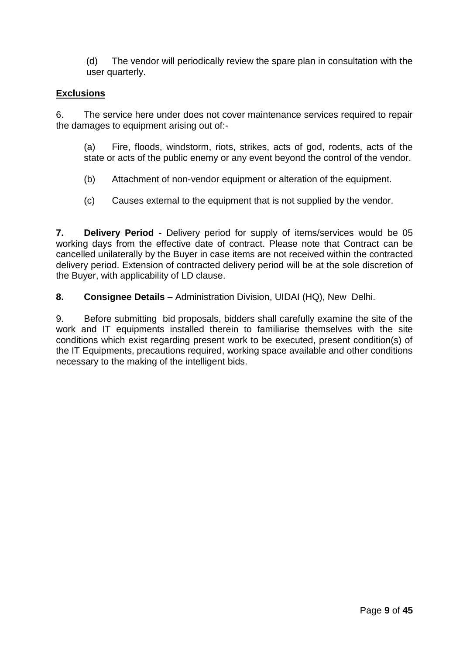(d) The vendor will periodically review the spare plan in consultation with the user quarterly.

# **Exclusions**

6. The service here under does not cover maintenance services required to repair the damages to equipment arising out of:-

(a) Fire, floods, windstorm, riots, strikes, acts of god, rodents, acts of the state or acts of the public enemy or any event beyond the control of the vendor.

- (b) Attachment of non-vendor equipment or alteration of the equipment.
- (c) Causes external to the equipment that is not supplied by the vendor.

**7. Delivery Period** - Delivery period for supply of items/services would be 05 working days from the effective date of contract. Please note that Contract can be cancelled unilaterally by the Buyer in case items are not received within the contracted delivery period. Extension of contracted delivery period will be at the sole discretion of the Buyer, with applicability of LD clause.

**8. Consignee Details** - Administration Division, UIDAI (HQ), New Delhi.

9. Before submitting bid proposals, bidders shall carefully examine the site of the work and IT equipments installed therein to familiarise themselves with the site conditions which exist regarding present work to be executed, present condition(s) of the IT Equipments, precautions required, working space available and other conditions necessary to the making of the intelligent bids.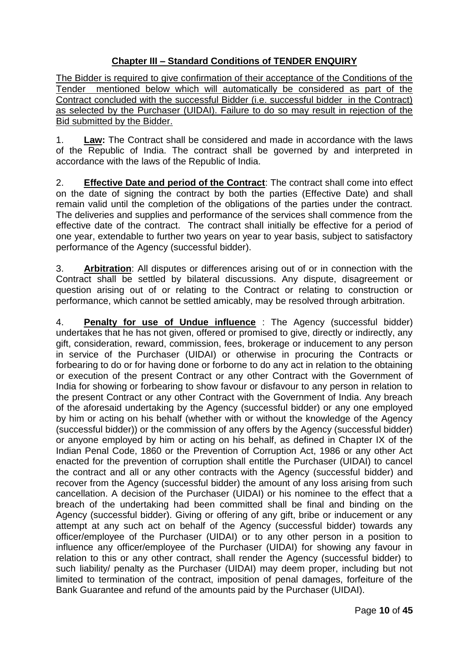# **Chapter III – Standard Conditions of TENDER ENQUIRY**

The Bidder is required to give confirmation of their acceptance of the Conditions of the Tender mentioned below which will automatically be considered as part of the Contract concluded with the successful Bidder (i.e. successful bidder in the Contract) as selected by the Purchaser (UIDAI). Failure to do so may result in rejection of the Bid submitted by the Bidder.

1. **Law:** The Contract shall be considered and made in accordance with the laws of the Republic of India. The contract shall be governed by and interpreted in accordance with the laws of the Republic of India.

2. **Effective Date and period of the Contract**: The contract shall come into effect on the date of signing the contract by both the parties (Effective Date) and shall remain valid until the completion of the obligations of the parties under the contract. The deliveries and supplies and performance of the services shall commence from the effective date of the contract. The contract shall initially be effective for a period of one year, extendable to further two years on year to year basis, subject to satisfactory performance of the Agency (successful bidder).

3. **Arbitration**: All disputes or differences arising out of or in connection with the Contract shall be settled by bilateral discussions. Any dispute, disagreement or question arising out of or relating to the Contract or relating to construction or performance, which cannot be settled amicably, may be resolved through arbitration.

4. **Penalty for use of Undue influence** : The Agency (successful bidder) undertakes that he has not given, offered or promised to give, directly or indirectly, any gift, consideration, reward, commission, fees, brokerage or inducement to any person in service of the Purchaser (UIDAI) or otherwise in procuring the Contracts or forbearing to do or for having done or forborne to do any act in relation to the obtaining or execution of the present Contract or any other Contract with the Government of India for showing or forbearing to show favour or disfavour to any person in relation to the present Contract or any other Contract with the Government of India. Any breach of the aforesaid undertaking by the Agency (successful bidder) or any one employed by him or acting on his behalf (whether with or without the knowledge of the Agency (successful bidder)) or the commission of any offers by the Agency (successful bidder) or anyone employed by him or acting on his behalf, as defined in Chapter IX of the Indian Penal Code, 1860 or the Prevention of Corruption Act, 1986 or any other Act enacted for the prevention of corruption shall entitle the Purchaser (UIDAI) to cancel the contract and all or any other contracts with the Agency (successful bidder) and recover from the Agency (successful bidder) the amount of any loss arising from such cancellation. A decision of the Purchaser (UIDAI) or his nominee to the effect that a breach of the undertaking had been committed shall be final and binding on the Agency (successful bidder). Giving or offering of any gift, bribe or inducement or any attempt at any such act on behalf of the Agency (successful bidder) towards any officer/employee of the Purchaser (UIDAI) or to any other person in a position to influence any officer/employee of the Purchaser (UIDAI) for showing any favour in relation to this or any other contract, shall render the Agency (successful bidder) to such liability/ penalty as the Purchaser (UIDAI) may deem proper, including but not limited to termination of the contract, imposition of penal damages, forfeiture of the Bank Guarantee and refund of the amounts paid by the Purchaser (UIDAI).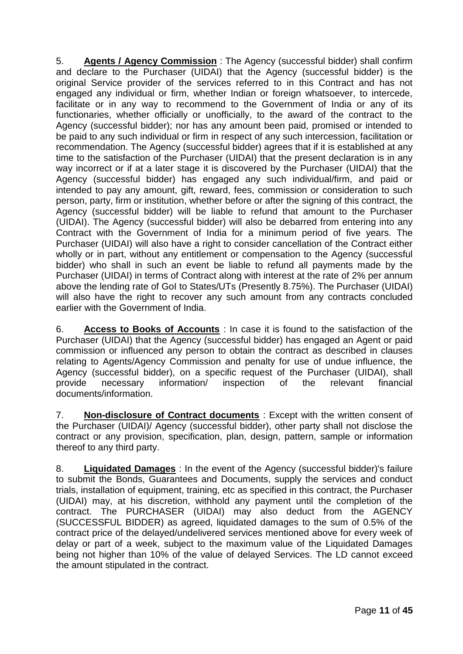5. **Agents / Agency Commission** : The Agency (successful bidder) shall confirm and declare to the Purchaser (UIDAI) that the Agency (successful bidder) is the original Service provider of the services referred to in this Contract and has not engaged any individual or firm, whether Indian or foreign whatsoever, to intercede, facilitate or in any way to recommend to the Government of India or any of its functionaries, whether officially or unofficially, to the award of the contract to the Agency (successful bidder); nor has any amount been paid, promised or intended to be paid to any such individual or firm in respect of any such intercession, facilitation or recommendation. The Agency (successful bidder) agrees that if it is established at any time to the satisfaction of the Purchaser (UIDAI) that the present declaration is in any way incorrect or if at a later stage it is discovered by the Purchaser (UIDAI) that the Agency (successful bidder) has engaged any such individual/firm, and paid or intended to pay any amount, gift, reward, fees, commission or consideration to such person, party, firm or institution, whether before or after the signing of this contract, the Agency (successful bidder) will be liable to refund that amount to the Purchaser (UIDAI). The Agency (successful bidder) will also be debarred from entering into any Contract with the Government of India for a minimum period of five years. The Purchaser (UIDAI) will also have a right to consider cancellation of the Contract either wholly or in part, without any entitlement or compensation to the Agency (successful bidder) who shall in such an event be liable to refund all payments made by the Purchaser (UIDAI) in terms of Contract along with interest at the rate of 2% per annum above the lending rate of GoI to States/UTs (Presently 8.75%). The Purchaser (UIDAI) will also have the right to recover any such amount from any contracts concluded earlier with the Government of India.

6. **Access to Books of Accounts** : In case it is found to the satisfaction of the Purchaser (UIDAI) that the Agency (successful bidder) has engaged an Agent or paid commission or influenced any person to obtain the contract as described in clauses relating to Agents/Agency Commission and penalty for use of undue influence, the Agency (successful bidder), on a specific request of the Purchaser (UIDAI), shall provide necessary information/ inspection of the relevant financial documents/information.

7. **Non-disclosure of Contract documents** : Except with the written consent of the Purchaser (UIDAI)/ Agency (successful bidder), other party shall not disclose the contract or any provision, specification, plan, design, pattern, sample or information thereof to any third party.

8. **Liquidated Damages** : In the event of the Agency (successful bidder)'s failure to submit the Bonds, Guarantees and Documents, supply the services and conduct trials, installation of equipment, training, etc as specified in this contract, the Purchaser (UIDAI) may, at his discretion, withhold any payment until the completion of the contract. The PURCHASER (UIDAI) may also deduct from the AGENCY (SUCCESSFUL BIDDER) as agreed, liquidated damages to the sum of 0.5% of the contract price of the delayed/undelivered services mentioned above for every week of delay or part of a week, subject to the maximum value of the Liquidated Damages being not higher than 10% of the value of delayed Services. The LD cannot exceed the amount stipulated in the contract.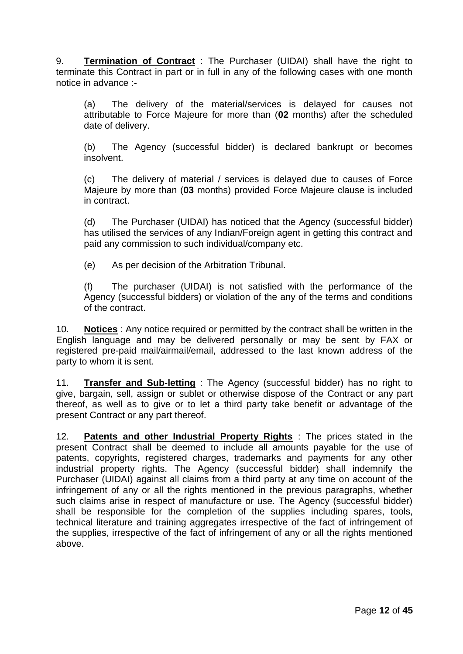9. **Termination of Contract** : The Purchaser (UIDAI) shall have the right to terminate this Contract in part or in full in any of the following cases with one month notice in advance :-

(a) The delivery of the material/services is delayed for causes not attributable to Force Majeure for more than (**02** months) after the scheduled date of delivery.

(b) The Agency (successful bidder) is declared bankrupt or becomes insolvent.

(c) The delivery of material / services is delayed due to causes of Force Majeure by more than (**03** months) provided Force Majeure clause is included in contract.

(d) The Purchaser (UIDAI) has noticed that the Agency (successful bidder) has utilised the services of any Indian/Foreign agent in getting this contract and paid any commission to such individual/company etc.

(e) As per decision of the Arbitration Tribunal.

(f) The purchaser (UIDAI) is not satisfied with the performance of the Agency (successful bidders) or violation of the any of the terms and conditions of the contract.

10. **Notices** : Any notice required or permitted by the contract shall be written in the English language and may be delivered personally or may be sent by FAX or registered pre-paid mail/airmail/email, addressed to the last known address of the party to whom it is sent.

11. **Transfer and Sub-letting** : The Agency (successful bidder) has no right to give, bargain, sell, assign or sublet or otherwise dispose of the Contract or any part thereof, as well as to give or to let a third party take benefit or advantage of the present Contract or any part thereof.

12. **Patents and other Industrial Property Rights** : The prices stated in the present Contract shall be deemed to include all amounts payable for the use of patents, copyrights, registered charges, trademarks and payments for any other industrial property rights. The Agency (successful bidder) shall indemnify the Purchaser (UIDAI) against all claims from a third party at any time on account of the infringement of any or all the rights mentioned in the previous paragraphs, whether such claims arise in respect of manufacture or use. The Agency (successful bidder) shall be responsible for the completion of the supplies including spares, tools, technical literature and training aggregates irrespective of the fact of infringement of the supplies, irrespective of the fact of infringement of any or all the rights mentioned above.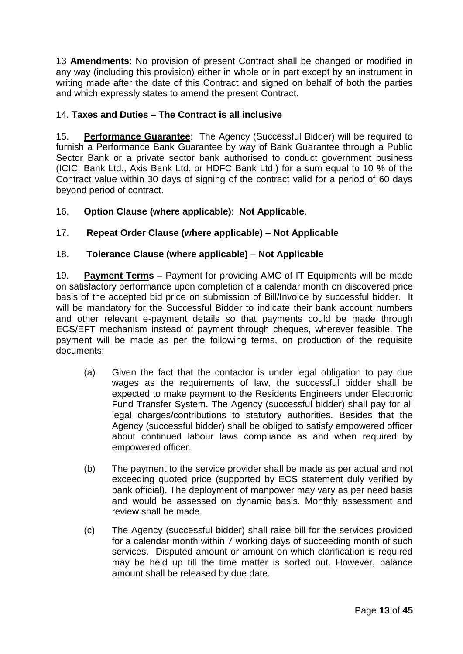13 **Amendments**: No provision of present Contract shall be changed or modified in any way (including this provision) either in whole or in part except by an instrument in writing made after the date of this Contract and signed on behalf of both the parties and which expressly states to amend the present Contract.

# 14. **Taxes and Duties – The Contract is all inclusive**

15. **Performance Guarantee**: The Agency (Successful Bidder) will be required to furnish a Performance Bank Guarantee by way of Bank Guarantee through a Public Sector Bank or a private sector bank authorised to conduct government business (ICICI Bank Ltd., Axis Bank Ltd. or HDFC Bank Ltd.) for a sum equal to 10 % of the Contract value within 30 days of signing of the contract valid for a period of 60 days beyond period of contract.

# 16. **Option Clause (where applicable)**: **Not Applicable**.

# 17. **Repeat Order Clause (where applicable)** – **Not Applicable**

# 18. **Tolerance Clause (where applicable)** – **Not Applicable**

19. **Payment Terms –** Payment for providing AMC of IT Equipments will be made on satisfactory performance upon completion of a calendar month on discovered price basis of the accepted bid price on submission of Bill/Invoice by successful bidder. It will be mandatory for the Successful Bidder to indicate their bank account numbers and other relevant e-payment details so that payments could be made through ECS/EFT mechanism instead of payment through cheques, wherever feasible. The payment will be made as per the following terms, on production of the requisite documents:

- (a) Given the fact that the contactor is under legal obligation to pay due wages as the requirements of law, the successful bidder shall be expected to make payment to the Residents Engineers under Electronic Fund Transfer System. The Agency (successful bidder) shall pay for all legal charges/contributions to statutory authorities. Besides that the Agency (successful bidder) shall be obliged to satisfy empowered officer about continued labour laws compliance as and when required by empowered officer.
- (b) The payment to the service provider shall be made as per actual and not exceeding quoted price (supported by ECS statement duly verified by bank official). The deployment of manpower may vary as per need basis and would be assessed on dynamic basis. Monthly assessment and review shall be made.
- (c) The Agency (successful bidder) shall raise bill for the services provided for a calendar month within 7 working days of succeeding month of such services. Disputed amount or amount on which clarification is required may be held up till the time matter is sorted out. However, balance amount shall be released by due date.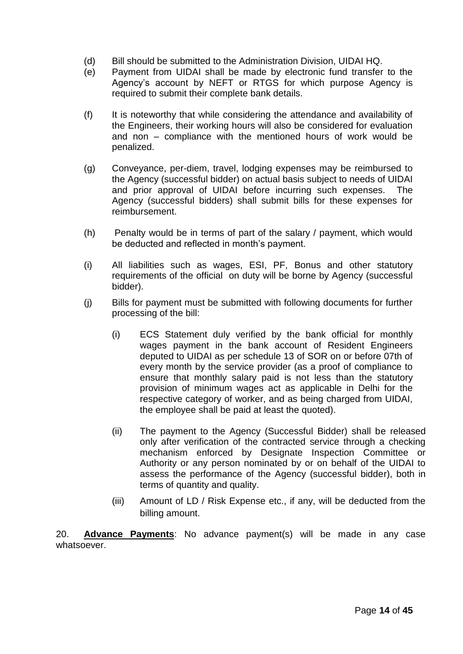- (d) Bill should be submitted to the Administration Division, UIDAI HQ.
- (e) Payment from UIDAI shall be made by electronic fund transfer to the Agency"s account by NEFT or RTGS for which purpose Agency is required to submit their complete bank details.
- (f) It is noteworthy that while considering the attendance and availability of the Engineers, their working hours will also be considered for evaluation and non – compliance with the mentioned hours of work would be penalized.
- (g) Conveyance, per-diem, travel, lodging expenses may be reimbursed to the Agency (successful bidder) on actual basis subject to needs of UIDAI and prior approval of UIDAI before incurring such expenses. The Agency (successful bidders) shall submit bills for these expenses for reimbursement.
- (h) Penalty would be in terms of part of the salary / payment, which would be deducted and reflected in month's payment.
- (i) All liabilities such as wages, ESI, PF, Bonus and other statutory requirements of the official on duty will be borne by Agency (successful bidder).
- (j) Bills for payment must be submitted with following documents for further processing of the bill:
	- (i) ECS Statement duly verified by the bank official for monthly wages payment in the bank account of Resident Engineers deputed to UIDAI as per schedule 13 of SOR on or before 07th of every month by the service provider (as a proof of compliance to ensure that monthly salary paid is not less than the statutory provision of minimum wages act as applicable in Delhi for the respective category of worker, and as being charged from UIDAI, the employee shall be paid at least the quoted).
	- (ii) The payment to the Agency (Successful Bidder) shall be released only after verification of the contracted service through a checking mechanism enforced by Designate Inspection Committee or Authority or any person nominated by or on behalf of the UIDAI to assess the performance of the Agency (successful bidder), both in terms of quantity and quality.
	- (iii) Amount of LD / Risk Expense etc., if any, will be deducted from the billing amount.

20. **Advance Payments**: No advance payment(s) will be made in any case whatsoever.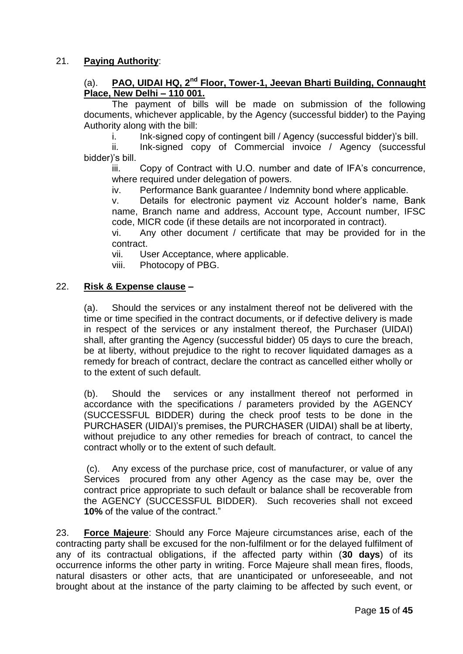# 21. **Paying Authority**:

#### (a). **PAO, UIDAI HQ, 2nd Floor, Tower-1, Jeevan Bharti Building, Connaught Place, New Delhi – 110 001.**

The payment of bills will be made on submission of the following documents, whichever applicable, by the Agency (successful bidder) to the Paying Authority along with the bill:

i. Ink-signed copy of contingent bill / Agency (successful bidder)'s bill.

ii. Ink-signed copy of Commercial invoice / Agency (successful bidder)"s bill.

iii. Copy of Contract with U.O. number and date of IFA's concurrence, where required under delegation of powers.

iv. Performance Bank guarantee / Indemnity bond where applicable.

v. Details for electronic payment viz Account holder"s name, Bank name, Branch name and address, Account type, Account number, IFSC code, MICR code (if these details are not incorporated in contract).

vi. Any other document / certificate that may be provided for in the contract.

vii. User Acceptance, where applicable.

viii. Photocopy of PBG.

#### 22. **Risk & Expense clause –**

(a). Should the services or any instalment thereof not be delivered with the time or time specified in the contract documents, or if defective delivery is made in respect of the services or any instalment thereof, the Purchaser (UIDAI) shall, after granting the Agency (successful bidder) 05 days to cure the breach, be at liberty, without prejudice to the right to recover liquidated damages as a remedy for breach of contract, declare the contract as cancelled either wholly or to the extent of such default.

(b). Should the services or any installment thereof not performed in accordance with the specifications / parameters provided by the AGENCY (SUCCESSFUL BIDDER) during the check proof tests to be done in the PURCHASER (UIDAI)"s premises, the PURCHASER (UIDAI) shall be at liberty, without prejudice to any other remedies for breach of contract, to cancel the contract wholly or to the extent of such default.

(c). Any excess of the purchase price, cost of manufacturer, or value of any Services procured from any other Agency as the case may be, over the contract price appropriate to such default or balance shall be recoverable from the AGENCY (SUCCESSFUL BIDDER). Such recoveries shall not exceed **10%** of the value of the contract."

23. **Force Majeure**: Should any Force Majeure circumstances arise, each of the contracting party shall be excused for the non-fulfilment or for the delayed fulfilment of any of its contractual obligations, if the affected party within (**30 days**) of its occurrence informs the other party in writing. Force Majeure shall mean fires, floods, natural disasters or other acts, that are unanticipated or unforeseeable, and not brought about at the instance of the party claiming to be affected by such event, or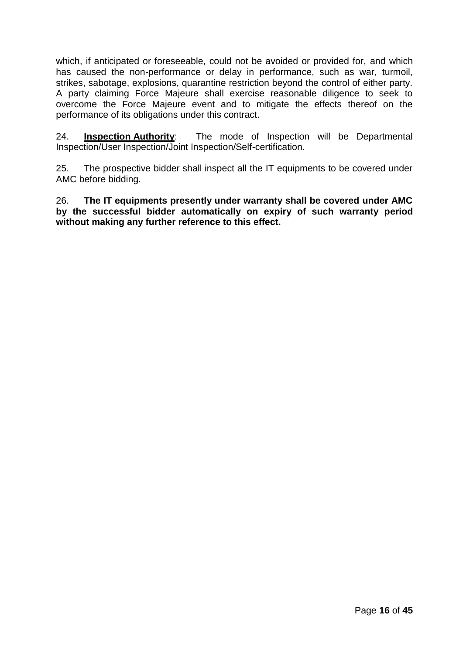which, if anticipated or foreseeable, could not be avoided or provided for, and which has caused the non-performance or delay in performance, such as war, turmoil, strikes, sabotage, explosions, quarantine restriction beyond the control of either party. A party claiming Force Majeure shall exercise reasonable diligence to seek to overcome the Force Majeure event and to mitigate the effects thereof on the performance of its obligations under this contract.

24. **Inspection Authority**: The mode of Inspection will be Departmental Inspection/User Inspection/Joint Inspection/Self-certification.

25. The prospective bidder shall inspect all the IT equipments to be covered under AMC before bidding.

26. **The IT equipments presently under warranty shall be covered under AMC by the successful bidder automatically on expiry of such warranty period without making any further reference to this effect.**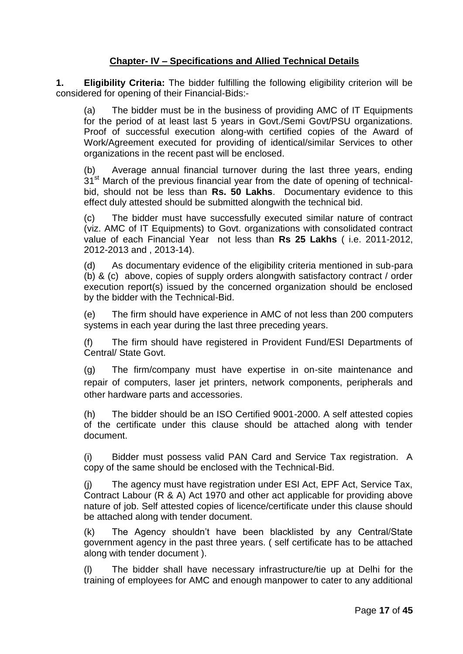# **Chapter- IV – Specifications and Allied Technical Details**

**1. Eligibility Criteria:** The bidder fulfilling the following eligibility criterion will be considered for opening of their Financial-Bids:-

(a) The bidder must be in the business of providing AMC of IT Equipments for the period of at least last 5 years in Govt./Semi Govt/PSU organizations. Proof of successful execution along-with certified copies of the Award of Work/Agreement executed for providing of identical/similar Services to other organizations in the recent past will be enclosed.

(b) Average annual financial turnover during the last three years, ending  $31<sup>st</sup>$  March of the previous financial year from the date of opening of technicalbid, should not be less than **Rs. 50 Lakhs**. Documentary evidence to this effect duly attested should be submitted alongwith the technical bid.

(c) The bidder must have successfully executed similar nature of contract (viz. AMC of IT Equipments) to Govt. organizations with consolidated contract value of each Financial Year not less than **Rs 25 Lakhs** ( i.e. 2011-2012, 2012-2013 and , 2013-14).

(d) As documentary evidence of the eligibility criteria mentioned in sub-para (b) & (c) above, copies of supply orders alongwith satisfactory contract / order execution report(s) issued by the concerned organization should be enclosed by the bidder with the Technical-Bid.

(e) The firm should have experience in AMC of not less than 200 computers systems in each year during the last three preceding years.

(f) The firm should have registered in Provident Fund/ESI Departments of Central/ State Govt.

(g) The firm/company must have expertise in on-site maintenance and repair of computers, laser jet printers, network components, peripherals and other hardware parts and accessories.

(h) The bidder should be an ISO Certified 9001-2000. A self attested copies of the certificate under this clause should be attached along with tender document.

(i) Bidder must possess valid PAN Card and Service Tax registration. A copy of the same should be enclosed with the Technical-Bid.

(j) The agency must have registration under ESI Act, EPF Act, Service Tax, Contract Labour (R & A) Act 1970 and other act applicable for providing above nature of job. Self attested copies of licence/certificate under this clause should be attached along with tender document.

(k) The Agency shouldn"t have been blacklisted by any Central/State government agency in the past three years. ( self certificate has to be attached along with tender document ).

(l) The bidder shall have necessary infrastructure/tie up at Delhi for the training of employees for AMC and enough manpower to cater to any additional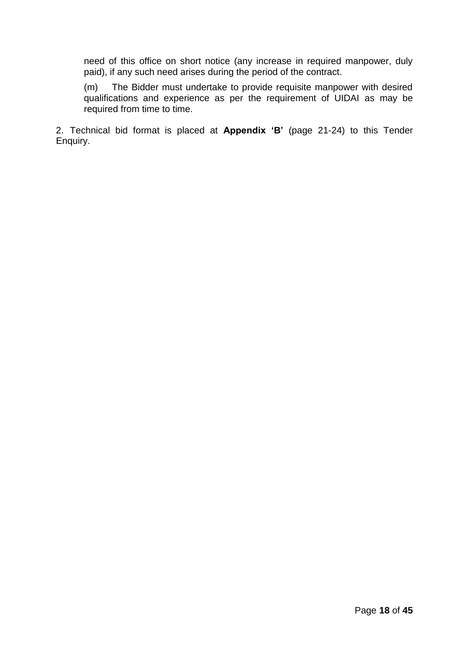need of this office on short notice (any increase in required manpower, duly paid), if any such need arises during the period of the contract.

(m) The Bidder must undertake to provide requisite manpower with desired qualifications and experience as per the requirement of UIDAI as may be required from time to time.

2. Technical bid format is placed at **Appendix 'B'** (page 21-24) to this Tender Enquiry.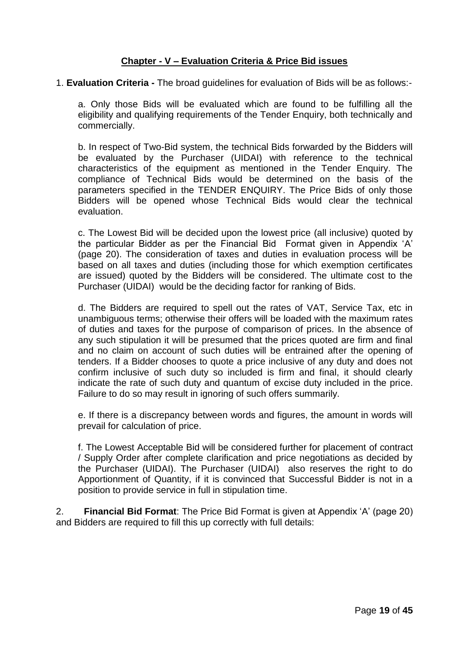# **Chapter - V – Evaluation Criteria & Price Bid issues**

1. **Evaluation Criteria -** The broad guidelines for evaluation of Bids will be as follows:-

a. Only those Bids will be evaluated which are found to be fulfilling all the eligibility and qualifying requirements of the Tender Enquiry, both technically and commercially.

b. In respect of Two-Bid system, the technical Bids forwarded by the Bidders will be evaluated by the Purchaser (UIDAI) with reference to the technical characteristics of the equipment as mentioned in the Tender Enquiry. The compliance of Technical Bids would be determined on the basis of the parameters specified in the TENDER ENQUIRY. The Price Bids of only those Bidders will be opened whose Technical Bids would clear the technical evaluation.

c. The Lowest Bid will be decided upon the lowest price (all inclusive) quoted by the particular Bidder as per the Financial Bid Format given in Appendix "A" (page 20). The consideration of taxes and duties in evaluation process will be based on all taxes and duties (including those for which exemption certificates are issued) quoted by the Bidders will be considered. The ultimate cost to the Purchaser (UIDAI) would be the deciding factor for ranking of Bids.

d. The Bidders are required to spell out the rates of VAT, Service Tax, etc in unambiguous terms; otherwise their offers will be loaded with the maximum rates of duties and taxes for the purpose of comparison of prices. In the absence of any such stipulation it will be presumed that the prices quoted are firm and final and no claim on account of such duties will be entrained after the opening of tenders. If a Bidder chooses to quote a price inclusive of any duty and does not confirm inclusive of such duty so included is firm and final, it should clearly indicate the rate of such duty and quantum of excise duty included in the price. Failure to do so may result in ignoring of such offers summarily.

e. If there is a discrepancy between words and figures, the amount in words will prevail for calculation of price.

f. The Lowest Acceptable Bid will be considered further for placement of contract / Supply Order after complete clarification and price negotiations as decided by the Purchaser (UIDAI). The Purchaser (UIDAI) also reserves the right to do Apportionment of Quantity, if it is convinced that Successful Bidder is not in a position to provide service in full in stipulation time.

2. **Financial Bid Format**: The Price Bid Format is given at Appendix "A" (page 20) and Bidders are required to fill this up correctly with full details: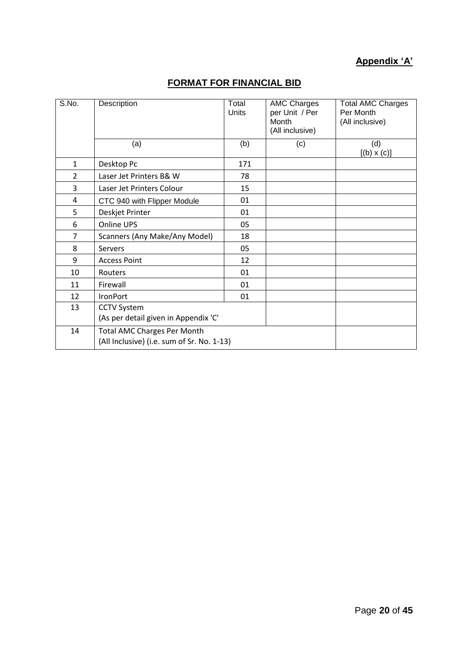# **Appendix 'A'**

| S.No.          | Description<br>(a)                                                               | Total<br><b>Units</b><br>(b) | <b>AMC Charges</b><br>per Unit / Per<br>Month<br>(All inclusive)<br>(c) | <b>Total AMC Charges</b><br>Per Month<br>(All inclusive)<br>(d)<br>$[(b) \times (c)]$ |
|----------------|----------------------------------------------------------------------------------|------------------------------|-------------------------------------------------------------------------|---------------------------------------------------------------------------------------|
| 1              | Desktop Pc                                                                       | 171                          |                                                                         |                                                                                       |
| $\overline{2}$ | Laser Jet Printers B& W                                                          | 78                           |                                                                         |                                                                                       |
| 3              | Laser Jet Printers Colour                                                        | 15                           |                                                                         |                                                                                       |
| 4              | CTC 940 with Flipper Module                                                      | 01                           |                                                                         |                                                                                       |
| 5              | Deskjet Printer                                                                  | 01                           |                                                                         |                                                                                       |
| 6              | Online UPS                                                                       | 05                           |                                                                         |                                                                                       |
| 7              | Scanners (Any Make/Any Model)                                                    | 18                           |                                                                         |                                                                                       |
| 8              | <b>Servers</b>                                                                   | 05                           |                                                                         |                                                                                       |
| 9              | <b>Access Point</b>                                                              | 12                           |                                                                         |                                                                                       |
| 10             | Routers                                                                          | 01                           |                                                                         |                                                                                       |
| 11             | Firewall                                                                         | 01                           |                                                                         |                                                                                       |
| 12             | IronPort                                                                         | 01                           |                                                                         |                                                                                       |
| 13             | <b>CCTV System</b><br>(As per detail given in Appendix 'C'                       |                              |                                                                         |                                                                                       |
| 14             | <b>Total AMC Charges Per Month</b><br>(All Inclusive) (i.e. sum of Sr. No. 1-13) |                              |                                                                         |                                                                                       |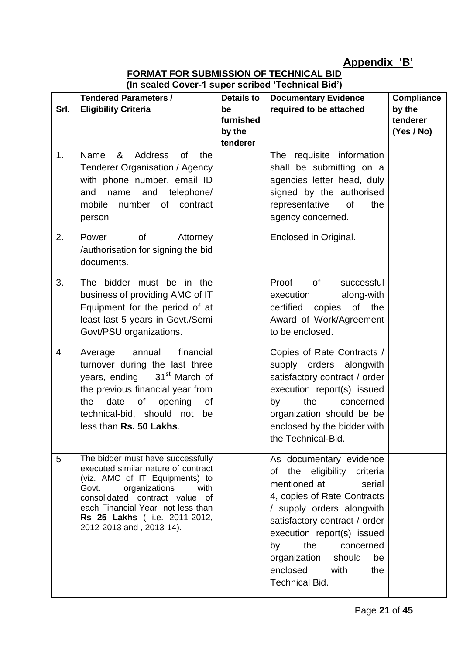# **Appendix 'B'**

**FORMAT FOR SUBMISSION OF TECHNICAL BID (In sealed Cover-1 super scribed 'Technical Bid')**

| Srl.           | $\sim$ coulou over the consequence of $\sim$<br><b>Tendered Parameters /</b><br><b>Eligibility Criteria</b>                                                                                                                                                                     | <b>Details to</b><br>be         | <b>Documentary Evidence</b><br>required to be attached                                                                                                                                                                                                                                                              | <b>Compliance</b><br>by the |
|----------------|---------------------------------------------------------------------------------------------------------------------------------------------------------------------------------------------------------------------------------------------------------------------------------|---------------------------------|---------------------------------------------------------------------------------------------------------------------------------------------------------------------------------------------------------------------------------------------------------------------------------------------------------------------|-----------------------------|
|                |                                                                                                                                                                                                                                                                                 | furnished<br>by the<br>tenderer |                                                                                                                                                                                                                                                                                                                     | tenderer<br>(Yes / No)      |
| 1.             | 8 <sub>1</sub><br>Address<br>Name<br><b>of</b><br>the<br><b>Tenderer Organisation / Agency</b><br>with phone number, email ID<br>name and telephone/<br>and<br>mobile<br>number of contract<br>person                                                                           |                                 | The requisite information<br>shall be submitting on a<br>agencies letter head, duly<br>signed by the authorised<br>of<br>representative<br>the<br>agency concerned.                                                                                                                                                 |                             |
| 2.             | of<br>Power<br>Attorney<br>/authorisation for signing the bid<br>documents.                                                                                                                                                                                                     |                                 | Enclosed in Original.                                                                                                                                                                                                                                                                                               |                             |
| 3.             | The bidder must be in the<br>business of providing AMC of IT<br>Equipment for the period of at<br>least last 5 years in Govt./Semi<br>Govt/PSU organizations.                                                                                                                   |                                 | Proof<br>of<br>successful<br>execution<br>along-with<br>certified copies<br>of the<br>Award of Work/Agreement<br>to be enclosed.                                                                                                                                                                                    |                             |
| $\overline{4}$ | financial<br>annual<br>Average<br>turnover during the last three<br>years, ending 31 <sup>st</sup> March of<br>the previous financial year from<br>date of<br>opening<br>of<br>the<br>technical-bid, should not<br>be<br>less than Rs. 50 Lakhs.                                |                                 | Copies of Rate Contracts /<br>supply orders alongwith<br>satisfactory contract / order<br>execution report(s) issued<br>the<br>by<br>concerned<br>organization should be be<br>enclosed by the bidder with<br>the Technical-Bid.                                                                                    |                             |
| 5              | The bidder must have successfully<br>executed similar nature of contract<br>(viz. AMC of IT Equipments) to<br>Govt.<br>organizations<br>with<br>consolidated contract value of<br>each Financial Year not less than<br>Rs 25 Lakhs (i.e. 2011-2012,<br>2012-2013 and, 2013-14). |                                 | As documentary evidence<br>of the eligibility criteria<br>mentioned at<br>serial<br>4, copies of Rate Contracts<br>/ supply orders alongwith<br>satisfactory contract / order<br>execution report(s) issued<br>the<br>concerned<br>by<br>organization should<br>be<br>enclosed with<br>the<br><b>Technical Bid.</b> |                             |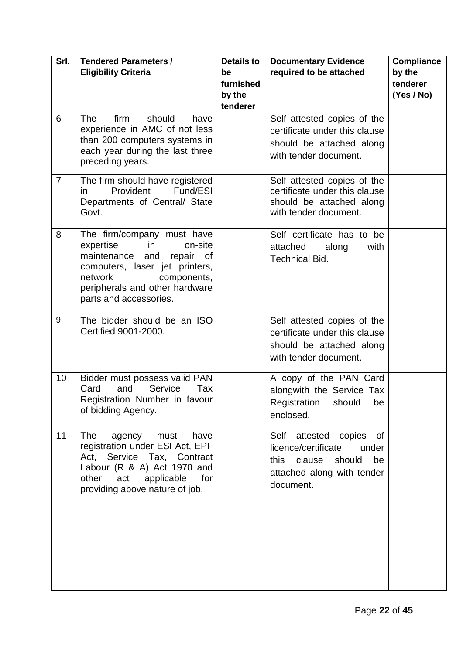| Srl.           | <b>Tendered Parameters /</b>                                     | <b>Details to</b> | <b>Documentary Evidence</b>                       | <b>Compliance</b> |
|----------------|------------------------------------------------------------------|-------------------|---------------------------------------------------|-------------------|
|                | <b>Eligibility Criteria</b>                                      | be                | required to be attached                           | by the            |
|                |                                                                  | furnished         |                                                   | tenderer          |
|                |                                                                  | by the            |                                                   | (Yes / No)        |
|                |                                                                  | tenderer          |                                                   |                   |
| 6              | should<br><b>The</b><br>firm<br>have                             |                   | Self attested copies of the                       |                   |
|                | experience in AMC of not less<br>than 200 computers systems in   |                   | certificate under this clause                     |                   |
|                | each year during the last three                                  |                   | should be attached along                          |                   |
|                | preceding years.                                                 |                   | with tender document.                             |                   |
|                |                                                                  |                   |                                                   |                   |
| $\overline{7}$ | The firm should have registered                                  |                   | Self attested copies of the                       |                   |
|                | Provident<br>Fund/ESI<br>in.                                     |                   | certificate under this clause                     |                   |
|                | Departments of Central/ State<br>Govt.                           |                   | should be attached along<br>with tender document. |                   |
|                |                                                                  |                   |                                                   |                   |
| 8              | The firm/company must have                                       |                   | Self certificate has to be                        |                   |
|                | expertise<br>on-site<br>in                                       |                   | attached<br>along<br>with                         |                   |
|                | maintenance<br>repair of<br>and                                  |                   | <b>Technical Bid.</b>                             |                   |
|                | computers, laser jet printers,                                   |                   |                                                   |                   |
|                | network<br>components,                                           |                   |                                                   |                   |
|                | peripherals and other hardware<br>parts and accessories.         |                   |                                                   |                   |
|                |                                                                  |                   |                                                   |                   |
| 9              | The bidder should be an ISO                                      |                   | Self attested copies of the                       |                   |
|                | Certified 9001-2000.                                             |                   | certificate under this clause                     |                   |
|                |                                                                  |                   | should be attached along                          |                   |
|                |                                                                  |                   | with tender document.                             |                   |
| 10             | Bidder must possess valid PAN                                    |                   | A copy of the PAN Card                            |                   |
|                | and<br>Service<br>Card<br>Tax                                    |                   | alongwith the Service Tax                         |                   |
|                | Registration Number in favour                                    |                   | Registration should be                            |                   |
|                | of bidding Agency.                                               |                   | enclosed.                                         |                   |
|                |                                                                  |                   |                                                   |                   |
| 11             | <b>The</b><br>agency<br>must<br>have                             |                   | Self attested copies<br><b>of</b>                 |                   |
|                | registration under ESI Act, EPF                                  |                   | licence/certificate<br>under                      |                   |
|                | Act, Service Tax, Contract                                       |                   | this clause<br>should<br>be                       |                   |
|                | Labour (R & A) Act 1970 and<br>other<br>applicable<br>for<br>act |                   | attached along with tender                        |                   |
|                | providing above nature of job.                                   |                   | document.                                         |                   |
|                |                                                                  |                   |                                                   |                   |
|                |                                                                  |                   |                                                   |                   |
|                |                                                                  |                   |                                                   |                   |
|                |                                                                  |                   |                                                   |                   |
|                |                                                                  |                   |                                                   |                   |
|                |                                                                  |                   |                                                   |                   |
|                |                                                                  |                   |                                                   |                   |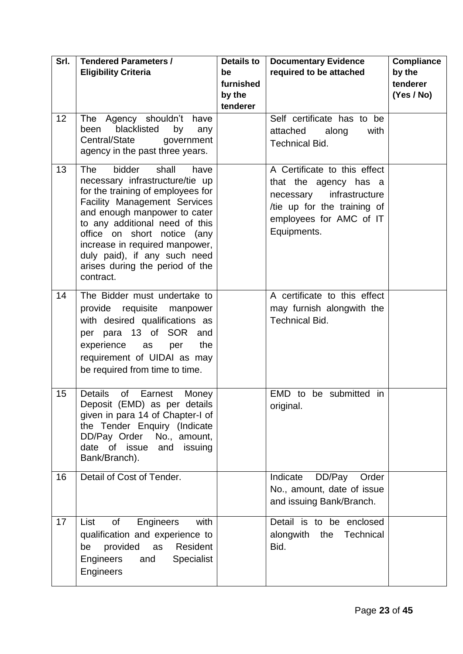| Srl. | <b>Tendered Parameters /</b><br><b>Eligibility Criteria</b>                                                                                                                                                                                                                                                                                                             | <b>Details to</b><br>be<br>furnished<br>by the<br>tenderer | <b>Documentary Evidence</b><br>required to be attached                                                                                                        | <b>Compliance</b><br>by the<br>tenderer<br>(Yes / No) |
|------|-------------------------------------------------------------------------------------------------------------------------------------------------------------------------------------------------------------------------------------------------------------------------------------------------------------------------------------------------------------------------|------------------------------------------------------------|---------------------------------------------------------------------------------------------------------------------------------------------------------------|-------------------------------------------------------|
| 12   | Agency shouldn't have<br><b>The</b><br>blacklisted<br>by<br>been<br>any<br>Central/State<br>government<br>agency in the past three years.                                                                                                                                                                                                                               |                                                            | Self certificate has to be<br>attached<br>along<br>with<br><b>Technical Bid.</b>                                                                              |                                                       |
| 13   | <b>The</b><br>bidder<br>shall<br>have<br>necessary infrastructure/tie up<br>for the training of employees for<br><b>Facility Management Services</b><br>and enough manpower to cater<br>to any additional need of this<br>office on short notice (any<br>increase in required manpower,<br>duly paid), if any such need<br>arises during the period of the<br>contract. |                                                            | A Certificate to this effect<br>that the agency has a<br>infrastructure<br>necessary<br>/tie up for the training of<br>employees for AMC of IT<br>Equipments. |                                                       |
| 14   | The Bidder must undertake to<br>provide requisite manpower<br>with desired qualifications as<br>per para 13 of SOR and<br>the<br>experience<br>per<br>as<br>requirement of UIDAI as may<br>be required from time to time.                                                                                                                                               |                                                            | A certificate to this effect<br>may furnish alongwith the<br><b>Technical Bid.</b>                                                                            |                                                       |
| 15   | <b>Details</b><br>of Earnest<br>Money<br>Deposit (EMD) as per details<br>given in para 14 of Chapter-I of<br>the Tender Enquiry (Indicate<br>DD/Pay Order<br>No., amount,<br>date of issue<br>issuing<br>and<br>Bank/Branch).                                                                                                                                           |                                                            | EMD to be submitted in<br>original.                                                                                                                           |                                                       |
| 16   | Detail of Cost of Tender.                                                                                                                                                                                                                                                                                                                                               |                                                            | Indicate<br>DD/Pay<br>Order<br>No., amount, date of issue<br>and issuing Bank/Branch.                                                                         |                                                       |
| 17   | Engineers<br>with<br>List<br>of<br>qualification and experience to<br>provided<br>Resident<br>as<br>be<br>Engineers<br><b>Specialist</b><br>and<br>Engineers                                                                                                                                                                                                            |                                                            | Detail is to be enclosed<br>alongwith<br>Technical<br>the<br>Bid.                                                                                             |                                                       |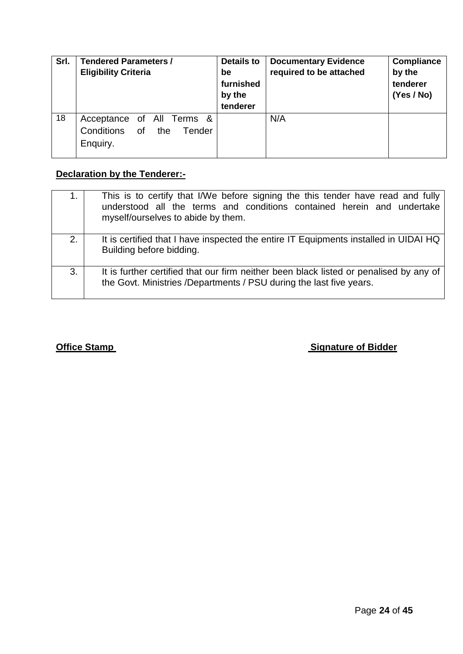| Srl. | <b>Tendered Parameters /</b><br><b>Eligibility Criteria</b>          | <b>Details to</b><br>be<br>furnished<br>by the<br>tenderer | <b>Documentary Evidence</b><br>required to be attached | <b>Compliance</b><br>by the<br>tenderer<br>(Yes / No) |
|------|----------------------------------------------------------------------|------------------------------------------------------------|--------------------------------------------------------|-------------------------------------------------------|
| 18   | Acceptance of All Terms &<br>Conditions of the<br>Tender<br>Enquiry. |                                                            | N/A                                                    |                                                       |

# **Declaration by the Tenderer:-**

|    | This is to certify that I/We before signing the this tender have read and fully<br>understood all the terms and conditions contained herein and undertake<br>myself/ourselves to abide by them. |
|----|-------------------------------------------------------------------------------------------------------------------------------------------------------------------------------------------------|
| 2. | It is certified that I have inspected the entire IT Equipments installed in UIDAI HQ<br>Building before bidding.                                                                                |
| 3. | It is further certified that our firm neither been black listed or penalised by any of<br>the Govt. Ministries /Departments / PSU during the last five years.                                   |

# **Office Stamp Community Community Community Community Community Community Community Community Community Community**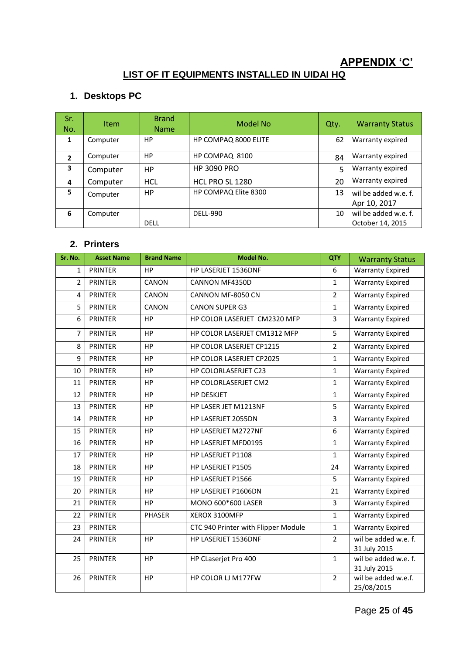# **APPENDIX 'C'**

# **LIST OF IT EQUIPMENTS INSTALLED IN UIDAI HQ**

# **1. Desktops PC**

| Sr.<br>No.     | <b>Item</b> | <b>Brand</b><br><b>Name</b> | Model No             | Qty. | <b>Warranty Status</b>                   |
|----------------|-------------|-----------------------------|----------------------|------|------------------------------------------|
| $\mathbf{1}$   | Computer    | HP                          | HP COMPAQ 8000 ELITE | 62   | Warranty expired                         |
| $\overline{2}$ | Computer    | HP                          | HP COMPAQ 8100       | 84   | Warranty expired                         |
| 3              | Computer    | <b>HP</b>                   | <b>HP 3090 PRO</b>   | 5    | Warranty expired                         |
| 4              | Computer    | <b>HCL</b>                  | HCL PRO SL 1280      | 20   | Warranty expired                         |
| 5.             | Computer    | НP                          | HP COMPAQ Elite 8300 | 13   | wil be added w.e. f.<br>Apr 10, 2017     |
| 6              | Computer    | <b>DELL</b>                 | <b>DELL-990</b>      | 10   | wil be added w.e. f.<br>October 14, 2015 |

# **2. Printers**

| Sr. No.        | <b>Asset Name</b> | <b>Brand Name</b> | <b>Model No.</b>                    | <b>QTY</b>     | <b>Warranty Status</b>               |
|----------------|-------------------|-------------------|-------------------------------------|----------------|--------------------------------------|
| 1              | <b>PRINTER</b>    | <b>HP</b>         | HP LASERJET 1536DNF                 | 6              | <b>Warranty Expired</b>              |
| $\overline{2}$ | <b>PRINTER</b>    | CANON             | <b>CANNON MF4350D</b>               | $\mathbf{1}$   | <b>Warranty Expired</b>              |
| 4              | <b>PRINTER</b>    | CANON             | CANNON MF-8050 CN                   | $\overline{2}$ | <b>Warranty Expired</b>              |
| 5              | <b>PRINTER</b>    | CANON             | <b>CANON SUPER G3</b>               | $\mathbf{1}$   | <b>Warranty Expired</b>              |
| 6              | <b>PRINTER</b>    | HP                | HP COLOR LASERJET CM2320 MFP        | $\overline{3}$ | <b>Warranty Expired</b>              |
| 7              | <b>PRINTER</b>    | <b>HP</b>         | HP COLOR LASERJET CM1312 MFP        | 5              | <b>Warranty Expired</b>              |
| 8              | <b>PRINTER</b>    | <b>HP</b>         | HP COLOR LASERJET CP1215            | $\overline{2}$ | <b>Warranty Expired</b>              |
| 9              | <b>PRINTER</b>    | HP                | HP COLOR LASERJET CP2025            | $\mathbf{1}$   | <b>Warranty Expired</b>              |
| 10             | PRINTER           | HP                | HP COLORLASERJET C23                | $\mathbf{1}$   | <b>Warranty Expired</b>              |
| 11             | <b>PRINTER</b>    | HP                | HP COLORLASERJET CM2                | $\mathbf{1}$   | <b>Warranty Expired</b>              |
| 12             | <b>PRINTER</b>    | HP                | <b>HP DESKJET</b>                   | $\mathbf{1}$   | <b>Warranty Expired</b>              |
| 13             | <b>PRINTER</b>    | HP                | HP LASER JET M1213NF                | 5              | <b>Warranty Expired</b>              |
| 14             | <b>PRINTER</b>    | <b>HP</b>         | HP LASERJET 2055DN                  | 3              | <b>Warranty Expired</b>              |
| 15             | <b>PRINTER</b>    | HP                | HP LASERJET M2727NF                 | 6              | <b>Warranty Expired</b>              |
| 16             | <b>PRINTER</b>    | <b>HP</b>         | HP LASERJET MFD0195                 | $\mathbf{1}$   | <b>Warranty Expired</b>              |
| 17             | <b>PRINTER</b>    | <b>HP</b>         | HP LASERJET P1108                   | $\mathbf{1}$   | <b>Warranty Expired</b>              |
| 18             | <b>PRINTER</b>    | HP                | HP LASERJET P1505                   | 24             | <b>Warranty Expired</b>              |
| 19             | <b>PRINTER</b>    | HP                | HP LASERJET P1566                   | 5              | <b>Warranty Expired</b>              |
| 20             | <b>PRINTER</b>    | HP                | HP LASERJET P1606DN                 | 21             | <b>Warranty Expired</b>              |
| 21             | <b>PRINTER</b>    | <b>HP</b>         | MONO 600*600 LASER                  | $\overline{3}$ | <b>Warranty Expired</b>              |
| 22             | <b>PRINTER</b>    | PHASER            | XEROX 3100MFP                       | $\mathbf{1}$   | <b>Warranty Expired</b>              |
| 23             | <b>PRINTER</b>    |                   | CTC 940 Printer with Flipper Module | $\mathbf{1}$   | <b>Warranty Expired</b>              |
| 24             | <b>PRINTER</b>    | HP                | HP LASERJET 1536DNF                 | $\overline{2}$ | wil be added w.e. f.<br>31 July 2015 |
| 25             | <b>PRINTER</b>    | HP                | HP CLaserjet Pro 400                | $\mathbf 1$    | wil be added w.e. f.<br>31 July 2015 |
| 26             | <b>PRINTER</b>    | HP                | HP COLOR LJ M177FW                  | $\overline{2}$ | wil be added w.e.f.<br>25/08/2015    |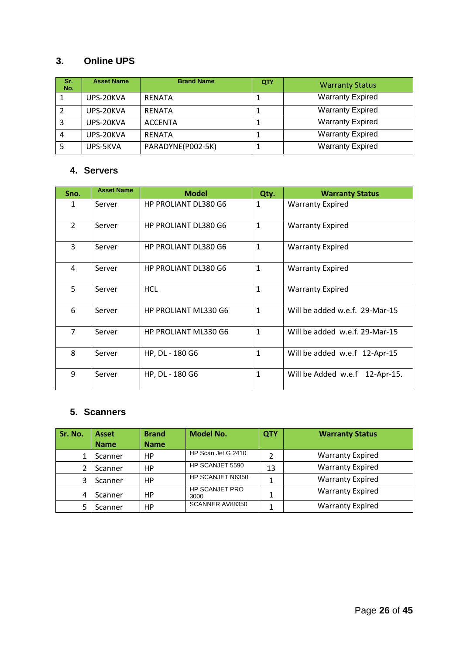# **3. Online UPS**

| Sr.<br>No. | <b>Asset Name</b> | <b>Brand Name</b> | QTY | <b>Warranty Status</b>  |
|------------|-------------------|-------------------|-----|-------------------------|
|            | UPS-20KVA         | <b>RENATA</b>     | J.  | <b>Warranty Expired</b> |
|            | UPS-20KVA         | <b>RENATA</b>     |     | <b>Warranty Expired</b> |
|            | UPS-20KVA         | <b>ACCENTA</b>    |     | <b>Warranty Expired</b> |
|            | UPS-20KVA         | <b>RFNATA</b>     | T   | <b>Warranty Expired</b> |
|            | UPS-5KVA          | PARADYNE(P002-5K) | ┹   | <b>Warranty Expired</b> |

# **4. Servers**

| Sno.           | <b>Asset Name</b> | <b>Model</b>                | Qty.         | <b>Warranty Status</b>         |
|----------------|-------------------|-----------------------------|--------------|--------------------------------|
| 1              | Server            | <b>HP PROLIANT DL380 G6</b> | 1            | <b>Warranty Expired</b>        |
| $\overline{2}$ | Server            | <b>HP PROLIANT DL380 G6</b> | $\mathbf{1}$ | <b>Warranty Expired</b>        |
| 3              | Server            | <b>HP PROLIANT DL380 G6</b> | $\mathbf{1}$ | <b>Warranty Expired</b>        |
| 4              | Server            | HP PROLIANT DL380 G6        | $\mathbf{1}$ | <b>Warranty Expired</b>        |
| 5              | Server            | <b>HCL</b>                  | $\mathbf{1}$ | <b>Warranty Expired</b>        |
| 6              | Server            | <b>HP PROLIANT ML330 G6</b> | 1            | Will be added w.e.f. 29-Mar-15 |
| $\overline{7}$ | Server            | HP PROLIANT ML330 G6        | $\mathbf{1}$ | Will be added w.e.f. 29-Mar-15 |
| 8              | Server            | HP, DL - 180 G6             | $\mathbf{1}$ | Will be added w.e.f 12-Apr-15  |
| 9              | Server            | HP, DL - 180 G6             | 1            | Will be Added w.e.f 12-Apr-15. |

# **5. Scanners**

| Sr. No. | <b>Asset</b> | <b>Brand</b> | <b>Model No.</b>              | QTY | <b>Warranty Status</b>  |
|---------|--------------|--------------|-------------------------------|-----|-------------------------|
|         | <b>Name</b>  | <b>Name</b>  |                               |     |                         |
|         | Scanner      | HP.          | HP Scan Jet G 2410            |     | <b>Warranty Expired</b> |
|         | Scanner      | НP           | HP SCANJET 5590               | 13  | <b>Warranty Expired</b> |
| 3       | Scanner      | НP           | HP SCANJET N6350              |     | <b>Warranty Expired</b> |
| 4       | Scanner      | НP           | <b>HP SCANJET PRO</b><br>3000 |     | <b>Warranty Expired</b> |
|         | Scanner      | НP           | SCANNER AV88350               |     | <b>Warranty Expired</b> |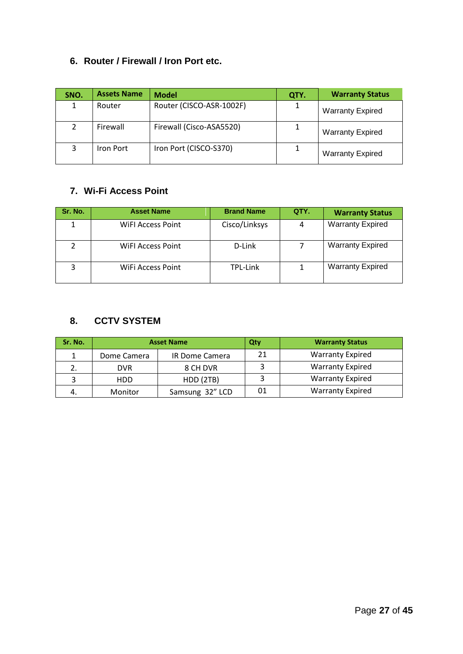# **6. Router / Firewall / Iron Port etc.**

| SNO. | <b>Assets Name</b> | <b>Model</b>             | QTY. | <b>Warranty Status</b>  |
|------|--------------------|--------------------------|------|-------------------------|
|      | Router             | Router (CISCO-ASR-1002F) |      | <b>Warranty Expired</b> |
|      | Firewall           | Firewall (Cisco-ASA5520) |      | <b>Warranty Expired</b> |
|      | Iron Port          | Iron Port (CISCO-S370)   |      | <b>Warranty Expired</b> |

# **7. Wi-Fi Access Point**

| Sr. No. | <b>Asset Name</b> | <b>Brand Name</b> | QTY. | <b>Warranty Status</b>  |
|---------|-------------------|-------------------|------|-------------------------|
|         | WiFI Access Point | Cisco/Linksys     | 4    | <b>Warranty Expired</b> |
|         | WIFI Access Point | D-Link            |      | <b>Warranty Expired</b> |
|         | WiFi Access Point | TPL-Link          |      | <b>Warranty Expired</b> |

# **8. CCTV SYSTEM**

| Sr. No. | <b>Asset Name</b> |                       | Qty | <b>Warranty Status</b>  |
|---------|-------------------|-----------------------|-----|-------------------------|
|         | Dome Camera       | <b>IR Dome Camera</b> | 21  | <b>Warranty Expired</b> |
|         | <b>DVR</b>        | 8 CH DVR              |     | <b>Warranty Expired</b> |
|         | HDD               | HDD (2TB)             |     | <b>Warranty Expired</b> |
|         | Monitor           | Samsung 32" LCD       | 01  | <b>Warranty Expired</b> |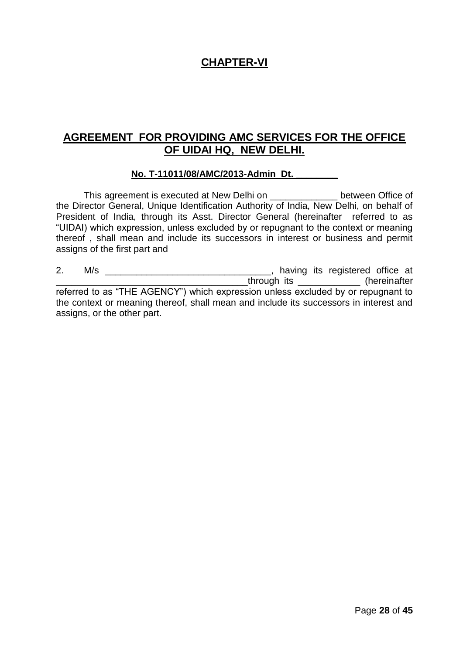# **CHAPTER-VI**

# **AGREEMENT FOR PROVIDING AMC SERVICES FOR THE OFFICE OF UIDAI HQ, NEW DELHI.**

#### **No. T-11011/08/AMC/2013-Admin Dt. \_\_\_\_\_\_\_\_**

This agreement is executed at New Delhi on \_\_\_\_\_\_\_\_\_\_\_\_\_ between Office of the Director General, Unique Identification Authority of India, New Delhi, on behalf of President of India, through its Asst. Director General (hereinafter referred to as "UIDAI) which expression, unless excluded by or repugnant to the context or meaning thereof , shall mean and include its successors in interest or business and permit assigns of the first part and

2. M/s \_\_\_\_\_\_\_\_\_\_\_\_\_\_\_\_\_\_\_\_\_\_\_\_\_\_\_\_\_\_\_\_, having its registered office at \_\_\_\_\_\_\_\_\_\_\_\_\_\_\_\_\_\_\_\_\_\_\_\_\_\_\_\_\_\_\_\_\_\_\_\_\_through its \_\_\_\_\_\_\_\_\_\_\_\_ (hereinafter referred to as "THE AGENCY") which expression unless excluded by or repugnant to the context or meaning thereof, shall mean and include its successors in interest and assigns, or the other part.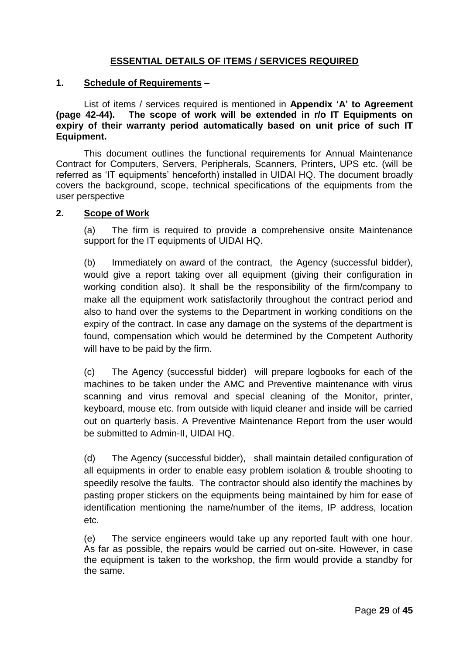# **ESSENTIAL DETAILS OF ITEMS / SERVICES REQUIRED**

#### **1. Schedule of Requirements** –

List of items / services required is mentioned in **Appendix 'A' to Agreement (page 42-44). The scope of work will be extended in r/o IT Equipments on expiry of their warranty period automatically based on unit price of such IT Equipment.**

This document outlines the functional requirements for Annual Maintenance Contract for Computers, Servers, Peripherals, Scanners, Printers, UPS etc. (will be referred as "IT equipments" henceforth) installed in UIDAI HQ. The document broadly covers the background, scope, technical specifications of the equipments from the user perspective

#### **2. Scope of Work**

(a) The firm is required to provide a comprehensive onsite Maintenance support for the IT equipments of UIDAI HQ.

(b) Immediately on award of the contract, the Agency (successful bidder), would give a report taking over all equipment (giving their configuration in working condition also). It shall be the responsibility of the firm/company to make all the equipment work satisfactorily throughout the contract period and also to hand over the systems to the Department in working conditions on the expiry of the contract. In case any damage on the systems of the department is found, compensation which would be determined by the Competent Authority will have to be paid by the firm.

(c) The Agency (successful bidder) will prepare logbooks for each of the machines to be taken under the AMC and Preventive maintenance with virus scanning and virus removal and special cleaning of the Monitor, printer, keyboard, mouse etc. from outside with liquid cleaner and inside will be carried out on quarterly basis. A Preventive Maintenance Report from the user would be submitted to Admin-II, UIDAI HQ.

(d) The Agency (successful bidder), shall maintain detailed configuration of all equipments in order to enable easy problem isolation & trouble shooting to speedily resolve the faults. The contractor should also identify the machines by pasting proper stickers on the equipments being maintained by him for ease of identification mentioning the name/number of the items, IP address, location etc.

(e) The service engineers would take up any reported fault with one hour. As far as possible, the repairs would be carried out on-site. However, in case the equipment is taken to the workshop, the firm would provide a standby for the same.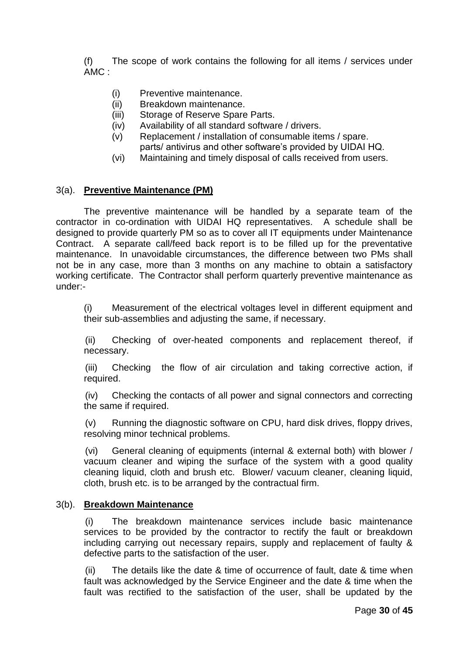(f) The scope of work contains the following for all items / services under AMC :

- (i) Preventive maintenance.
- (ii) Breakdown maintenance.
- (iii) Storage of Reserve Spare Parts.
- (iv) Availability of all standard software / drivers.
- (v) Replacement / installation of consumable items / spare. parts/ antivirus and other software's provided by UIDAI HQ.
- (vi) Maintaining and timely disposal of calls received from users.

#### 3(a). **Preventive Maintenance (PM)**

The preventive maintenance will be handled by a separate team of the contractor in co-ordination with UIDAI HQ representatives. A schedule shall be designed to provide quarterly PM so as to cover all IT equipments under Maintenance Contract. A separate call/feed back report is to be filled up for the preventative maintenance. In unavoidable circumstances, the difference between two PMs shall not be in any case, more than 3 months on any machine to obtain a satisfactory working certificate. The Contractor shall perform quarterly preventive maintenance as under:-

(i) Measurement of the electrical voltages level in different equipment and their sub-assemblies and adjusting the same, if necessary.

(ii) Checking of over-heated components and replacement thereof, if necessary.

(iii) Checking the flow of air circulation and taking corrective action, if required.

(iv) Checking the contacts of all power and signal connectors and correcting the same if required.

(v) Running the diagnostic software on CPU, hard disk drives, floppy drives, resolving minor technical problems.

(vi) General cleaning of equipments (internal & external both) with blower / vacuum cleaner and wiping the surface of the system with a good quality cleaning liquid, cloth and brush etc. Blower/ vacuum cleaner, cleaning liquid, cloth, brush etc. is to be arranged by the contractual firm.

#### 3(b). **Breakdown Maintenance**

(i) The breakdown maintenance services include basic maintenance services to be provided by the contractor to rectify the fault or breakdown including carrying out necessary repairs, supply and replacement of faulty & defective parts to the satisfaction of the user.

(ii) The details like the date & time of occurrence of fault, date & time when fault was acknowledged by the Service Engineer and the date & time when the fault was rectified to the satisfaction of the user, shall be updated by the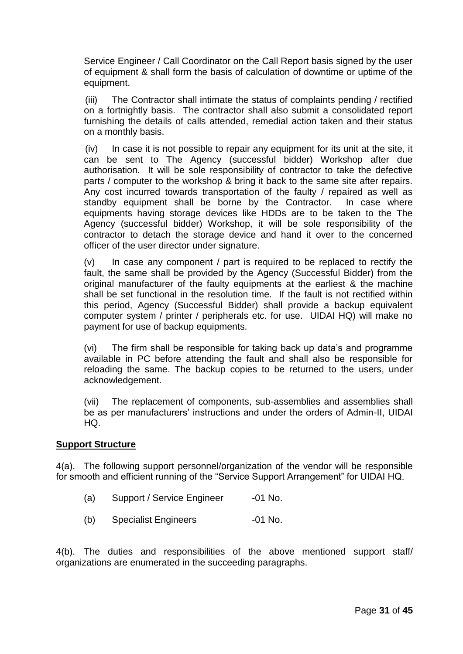Service Engineer / Call Coordinator on the Call Report basis signed by the user of equipment & shall form the basis of calculation of downtime or uptime of the equipment.

(iii) The Contractor shall intimate the status of complaints pending / rectified on a fortnightly basis. The contractor shall also submit a consolidated report furnishing the details of calls attended, remedial action taken and their status on a monthly basis.

(iv) In case it is not possible to repair any equipment for its unit at the site, it can be sent to The Agency (successful bidder) Workshop after due authorisation. It will be sole responsibility of contractor to take the defective parts / computer to the workshop & bring it back to the same site after repairs. Any cost incurred towards transportation of the faulty / repaired as well as standby equipment shall be borne by the Contractor. In case where equipments having storage devices like HDDs are to be taken to the The Agency (successful bidder) Workshop, it will be sole responsibility of the contractor to detach the storage device and hand it over to the concerned officer of the user director under signature.

 $(v)$  In case any component / part is required to be replaced to rectify the fault, the same shall be provided by the Agency (Successful Bidder) from the original manufacturer of the faulty equipments at the earliest & the machine shall be set functional in the resolution time. If the fault is not rectified within this period, Agency (Successful Bidder) shall provide a backup equivalent computer system / printer / peripherals etc. for use. UIDAI HQ) will make no payment for use of backup equipments.

(vi) The firm shall be responsible for taking back up data"s and programme available in PC before attending the fault and shall also be responsible for reloading the same. The backup copies to be returned to the users, under acknowledgement.

(vii) The replacement of components, sub-assemblies and assemblies shall be as per manufacturers' instructions and under the orders of Admin-II, UIDAI HQ.

#### **Support Structure**

4(a). The following support personnel/organization of the vendor will be responsible for smooth and efficient running of the "Service Support Arrangement" for UIDAI HQ.

- (a) Support / Service Engineer -01 No.
- (b) Specialist Engineers -01 No.

4(b). The duties and responsibilities of the above mentioned support staff/ organizations are enumerated in the succeeding paragraphs.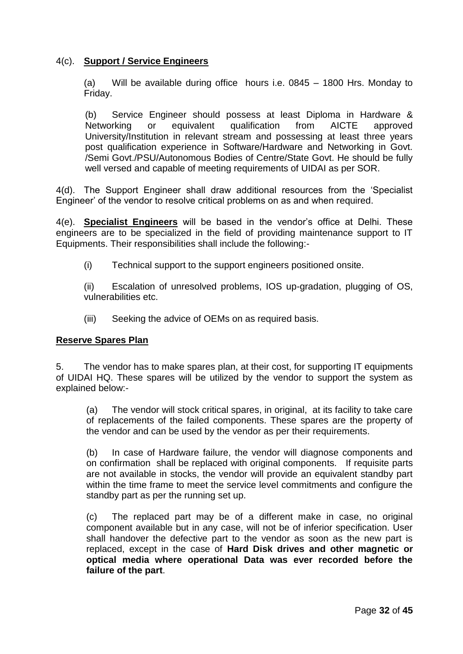# 4(c). **Support / Service Engineers**

(a) Will be available during office hours i.e. 0845 – 1800 Hrs. Monday to Friday.

(b) Service Engineer should possess at least Diploma in Hardware & Networking or equivalent qualification from AICTE approved University/Institution in relevant stream and possessing at least three years post qualification experience in Software/Hardware and Networking in Govt. /Semi Govt./PSU/Autonomous Bodies of Centre/State Govt. He should be fully well versed and capable of meeting requirements of UIDAI as per SOR.

4(d). The Support Engineer shall draw additional resources from the "Specialist Engineer" of the vendor to resolve critical problems on as and when required.

4(e). **Specialist Engineers** will be based in the vendor"s office at Delhi. These engineers are to be specialized in the field of providing maintenance support to IT Equipments. Their responsibilities shall include the following:-

(i) Technical support to the support engineers positioned onsite.

(ii) Escalation of unresolved problems, IOS up-gradation, plugging of OS, vulnerabilities etc.

(iii) Seeking the advice of OEMs on as required basis.

#### **Reserve Spares Plan**

5. The vendor has to make spares plan, at their cost, for supporting IT equipments of UIDAI HQ. These spares will be utilized by the vendor to support the system as explained below:-

(a) The vendor will stock critical spares, in original, at its facility to take care of replacements of the failed components. These spares are the property of the vendor and can be used by the vendor as per their requirements.

(b) In case of Hardware failure, the vendor will diagnose components and on confirmation shall be replaced with original components. If requisite parts are not available in stocks, the vendor will provide an equivalent standby part within the time frame to meet the service level commitments and configure the standby part as per the running set up.

(c) The replaced part may be of a different make in case, no original component available but in any case, will not be of inferior specification. User shall handover the defective part to the vendor as soon as the new part is replaced, except in the case of **Hard Disk drives and other magnetic or optical media where operational Data was ever recorded before the failure of the part**.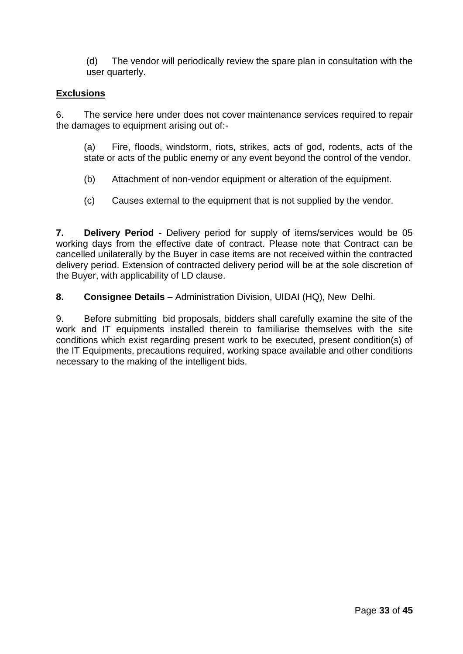(d) The vendor will periodically review the spare plan in consultation with the user quarterly.

# **Exclusions**

6. The service here under does not cover maintenance services required to repair the damages to equipment arising out of:-

(a) Fire, floods, windstorm, riots, strikes, acts of god, rodents, acts of the state or acts of the public enemy or any event beyond the control of the vendor.

- (b) Attachment of non-vendor equipment or alteration of the equipment.
- (c) Causes external to the equipment that is not supplied by the vendor.

**7. Delivery Period** - Delivery period for supply of items/services would be 05 working days from the effective date of contract. Please note that Contract can be cancelled unilaterally by the Buyer in case items are not received within the contracted delivery period. Extension of contracted delivery period will be at the sole discretion of the Buyer, with applicability of LD clause.

**8. Consignee Details** - Administration Division, UIDAI (HQ), New Delhi.

9. Before submitting bid proposals, bidders shall carefully examine the site of the work and IT equipments installed therein to familiarise themselves with the site conditions which exist regarding present work to be executed, present condition(s) of the IT Equipments, precautions required, working space available and other conditions necessary to the making of the intelligent bids.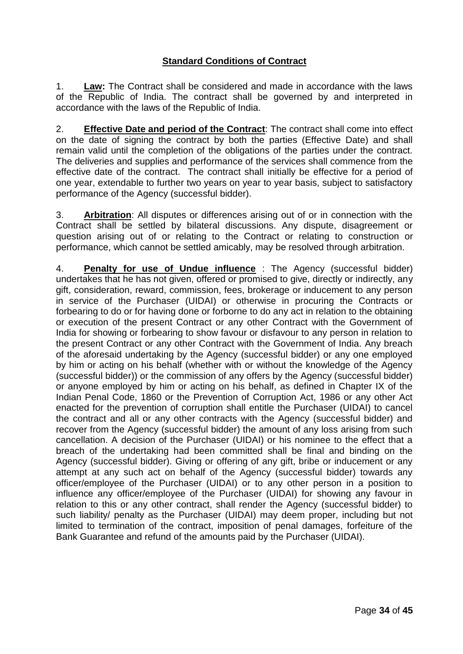# **Standard Conditions of Contract**

1. **Law:** The Contract shall be considered and made in accordance with the laws of the Republic of India. The contract shall be governed by and interpreted in accordance with the laws of the Republic of India.

2. **Effective Date and period of the Contract**: The contract shall come into effect on the date of signing the contract by both the parties (Effective Date) and shall remain valid until the completion of the obligations of the parties under the contract. The deliveries and supplies and performance of the services shall commence from the effective date of the contract. The contract shall initially be effective for a period of one year, extendable to further two years on year to year basis, subject to satisfactory performance of the Agency (successful bidder).

3. **Arbitration**: All disputes or differences arising out of or in connection with the Contract shall be settled by bilateral discussions. Any dispute, disagreement or question arising out of or relating to the Contract or relating to construction or performance, which cannot be settled amicably, may be resolved through arbitration.

4. **Penalty for use of Undue influence** : The Agency (successful bidder) undertakes that he has not given, offered or promised to give, directly or indirectly, any gift, consideration, reward, commission, fees, brokerage or inducement to any person in service of the Purchaser (UIDAI) or otherwise in procuring the Contracts or forbearing to do or for having done or forborne to do any act in relation to the obtaining or execution of the present Contract or any other Contract with the Government of India for showing or forbearing to show favour or disfavour to any person in relation to the present Contract or any other Contract with the Government of India. Any breach of the aforesaid undertaking by the Agency (successful bidder) or any one employed by him or acting on his behalf (whether with or without the knowledge of the Agency (successful bidder)) or the commission of any offers by the Agency (successful bidder) or anyone employed by him or acting on his behalf, as defined in Chapter IX of the Indian Penal Code, 1860 or the Prevention of Corruption Act, 1986 or any other Act enacted for the prevention of corruption shall entitle the Purchaser (UIDAI) to cancel the contract and all or any other contracts with the Agency (successful bidder) and recover from the Agency (successful bidder) the amount of any loss arising from such cancellation. A decision of the Purchaser (UIDAI) or his nominee to the effect that a breach of the undertaking had been committed shall be final and binding on the Agency (successful bidder). Giving or offering of any gift, bribe or inducement or any attempt at any such act on behalf of the Agency (successful bidder) towards any officer/employee of the Purchaser (UIDAI) or to any other person in a position to influence any officer/employee of the Purchaser (UIDAI) for showing any favour in relation to this or any other contract, shall render the Agency (successful bidder) to such liability/ penalty as the Purchaser (UIDAI) may deem proper, including but not limited to termination of the contract, imposition of penal damages, forfeiture of the Bank Guarantee and refund of the amounts paid by the Purchaser (UIDAI).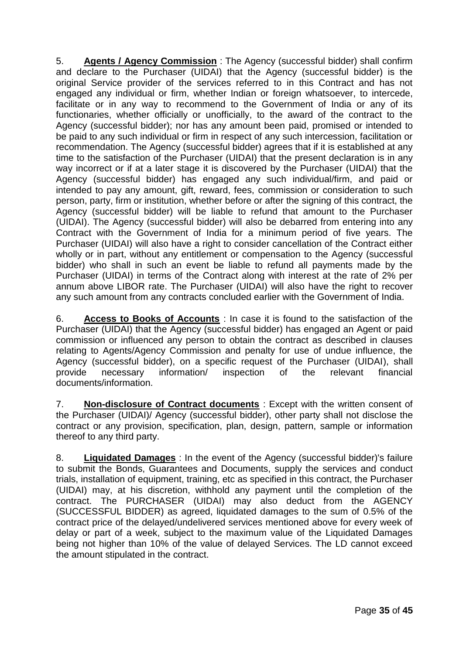5. **Agents / Agency Commission** : The Agency (successful bidder) shall confirm and declare to the Purchaser (UIDAI) that the Agency (successful bidder) is the original Service provider of the services referred to in this Contract and has not engaged any individual or firm, whether Indian or foreign whatsoever, to intercede, facilitate or in any way to recommend to the Government of India or any of its functionaries, whether officially or unofficially, to the award of the contract to the Agency (successful bidder); nor has any amount been paid, promised or intended to be paid to any such individual or firm in respect of any such intercession, facilitation or recommendation. The Agency (successful bidder) agrees that if it is established at any time to the satisfaction of the Purchaser (UIDAI) that the present declaration is in any way incorrect or if at a later stage it is discovered by the Purchaser (UIDAI) that the Agency (successful bidder) has engaged any such individual/firm, and paid or intended to pay any amount, gift, reward, fees, commission or consideration to such person, party, firm or institution, whether before or after the signing of this contract, the Agency (successful bidder) will be liable to refund that amount to the Purchaser (UIDAI). The Agency (successful bidder) will also be debarred from entering into any Contract with the Government of India for a minimum period of five years. The Purchaser (UIDAI) will also have a right to consider cancellation of the Contract either wholly or in part, without any entitlement or compensation to the Agency (successful bidder) who shall in such an event be liable to refund all payments made by the Purchaser (UIDAI) in terms of the Contract along with interest at the rate of 2% per annum above LIBOR rate. The Purchaser (UIDAI) will also have the right to recover any such amount from any contracts concluded earlier with the Government of India.

6. **Access to Books of Accounts** : In case it is found to the satisfaction of the Purchaser (UIDAI) that the Agency (successful bidder) has engaged an Agent or paid commission or influenced any person to obtain the contract as described in clauses relating to Agents/Agency Commission and penalty for use of undue influence, the Agency (successful bidder), on a specific request of the Purchaser (UIDAI), shall provide necessary information/ inspection of the relevant financial documents/information.

7. **Non-disclosure of Contract documents** : Except with the written consent of the Purchaser (UIDAI)/ Agency (successful bidder), other party shall not disclose the contract or any provision, specification, plan, design, pattern, sample or information thereof to any third party.

8. **Liquidated Damages** : In the event of the Agency (successful bidder)'s failure to submit the Bonds, Guarantees and Documents, supply the services and conduct trials, installation of equipment, training, etc as specified in this contract, the Purchaser (UIDAI) may, at his discretion, withhold any payment until the completion of the contract. The PURCHASER (UIDAI) may also deduct from the AGENCY (SUCCESSFUL BIDDER) as agreed, liquidated damages to the sum of 0.5% of the contract price of the delayed/undelivered services mentioned above for every week of delay or part of a week, subject to the maximum value of the Liquidated Damages being not higher than 10% of the value of delayed Services. The LD cannot exceed the amount stipulated in the contract.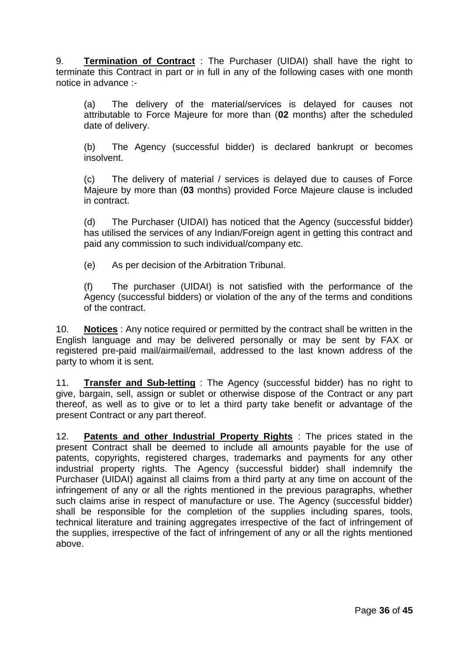9. **Termination of Contract** : The Purchaser (UIDAI) shall have the right to terminate this Contract in part or in full in any of the following cases with one month notice in advance :-

(a) The delivery of the material/services is delayed for causes not attributable to Force Majeure for more than (**02** months) after the scheduled date of delivery.

(b) The Agency (successful bidder) is declared bankrupt or becomes insolvent.

(c) The delivery of material / services is delayed due to causes of Force Majeure by more than (**03** months) provided Force Majeure clause is included in contract.

(d) The Purchaser (UIDAI) has noticed that the Agency (successful bidder) has utilised the services of any Indian/Foreign agent in getting this contract and paid any commission to such individual/company etc.

(e) As per decision of the Arbitration Tribunal.

(f) The purchaser (UIDAI) is not satisfied with the performance of the Agency (successful bidders) or violation of the any of the terms and conditions of the contract.

10. **Notices** : Any notice required or permitted by the contract shall be written in the English language and may be delivered personally or may be sent by FAX or registered pre-paid mail/airmail/email, addressed to the last known address of the party to whom it is sent.

11. **Transfer and Sub-letting** : The Agency (successful bidder) has no right to give, bargain, sell, assign or sublet or otherwise dispose of the Contract or any part thereof, as well as to give or to let a third party take benefit or advantage of the present Contract or any part thereof.

12. **Patents and other Industrial Property Rights** : The prices stated in the present Contract shall be deemed to include all amounts payable for the use of patents, copyrights, registered charges, trademarks and payments for any other industrial property rights. The Agency (successful bidder) shall indemnify the Purchaser (UIDAI) against all claims from a third party at any time on account of the infringement of any or all the rights mentioned in the previous paragraphs, whether such claims arise in respect of manufacture or use. The Agency (successful bidder) shall be responsible for the completion of the supplies including spares, tools, technical literature and training aggregates irrespective of the fact of infringement of the supplies, irrespective of the fact of infringement of any or all the rights mentioned above.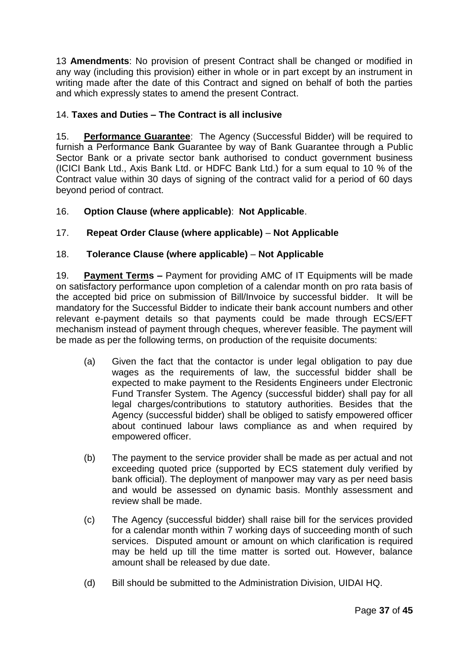13 **Amendments**: No provision of present Contract shall be changed or modified in any way (including this provision) either in whole or in part except by an instrument in writing made after the date of this Contract and signed on behalf of both the parties and which expressly states to amend the present Contract.

# 14. **Taxes and Duties – The Contract is all inclusive**

15. **Performance Guarantee**: The Agency (Successful Bidder) will be required to furnish a Performance Bank Guarantee by way of Bank Guarantee through a Public Sector Bank or a private sector bank authorised to conduct government business (ICICI Bank Ltd., Axis Bank Ltd. or HDFC Bank Ltd.) for a sum equal to 10 % of the Contract value within 30 days of signing of the contract valid for a period of 60 days beyond period of contract.

# 16. **Option Clause (where applicable)**: **Not Applicable**.

# 17. **Repeat Order Clause (where applicable)** – **Not Applicable**

# 18. **Tolerance Clause (where applicable)** – **Not Applicable**

19. **Payment Terms –** Payment for providing AMC of IT Equipments will be made on satisfactory performance upon completion of a calendar month on pro rata basis of the accepted bid price on submission of Bill/Invoice by successful bidder. It will be mandatory for the Successful Bidder to indicate their bank account numbers and other relevant e-payment details so that payments could be made through ECS/EFT mechanism instead of payment through cheques, wherever feasible. The payment will be made as per the following terms, on production of the requisite documents:

- (a) Given the fact that the contactor is under legal obligation to pay due wages as the requirements of law, the successful bidder shall be expected to make payment to the Residents Engineers under Electronic Fund Transfer System. The Agency (successful bidder) shall pay for all legal charges/contributions to statutory authorities. Besides that the Agency (successful bidder) shall be obliged to satisfy empowered officer about continued labour laws compliance as and when required by empowered officer.
- (b) The payment to the service provider shall be made as per actual and not exceeding quoted price (supported by ECS statement duly verified by bank official). The deployment of manpower may vary as per need basis and would be assessed on dynamic basis. Monthly assessment and review shall be made.
- (c) The Agency (successful bidder) shall raise bill for the services provided for a calendar month within 7 working days of succeeding month of such services. Disputed amount or amount on which clarification is required may be held up till the time matter is sorted out. However, balance amount shall be released by due date.
- (d) Bill should be submitted to the Administration Division, UIDAI HQ.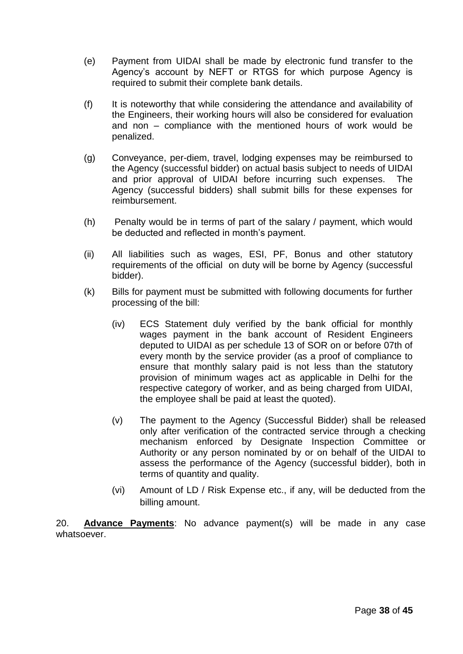- (e) Payment from UIDAI shall be made by electronic fund transfer to the Agency"s account by NEFT or RTGS for which purpose Agency is required to submit their complete bank details.
- (f) It is noteworthy that while considering the attendance and availability of the Engineers, their working hours will also be considered for evaluation and non – compliance with the mentioned hours of work would be penalized.
- (g) Conveyance, per-diem, travel, lodging expenses may be reimbursed to the Agency (successful bidder) on actual basis subject to needs of UIDAI and prior approval of UIDAI before incurring such expenses. The Agency (successful bidders) shall submit bills for these expenses for reimbursement.
- (h) Penalty would be in terms of part of the salary / payment, which would be deducted and reflected in month's payment.
- (ii) All liabilities such as wages, ESI, PF, Bonus and other statutory requirements of the official on duty will be borne by Agency (successful bidder).
- (k) Bills for payment must be submitted with following documents for further processing of the bill:
	- (iv) ECS Statement duly verified by the bank official for monthly wages payment in the bank account of Resident Engineers deputed to UIDAI as per schedule 13 of SOR on or before 07th of every month by the service provider (as a proof of compliance to ensure that monthly salary paid is not less than the statutory provision of minimum wages act as applicable in Delhi for the respective category of worker, and as being charged from UIDAI, the employee shall be paid at least the quoted).
	- (v) The payment to the Agency (Successful Bidder) shall be released only after verification of the contracted service through a checking mechanism enforced by Designate Inspection Committee or Authority or any person nominated by or on behalf of the UIDAI to assess the performance of the Agency (successful bidder), both in terms of quantity and quality.
	- (vi) Amount of LD / Risk Expense etc., if any, will be deducted from the billing amount.

20. **Advance Payments**: No advance payment(s) will be made in any case whatsoever.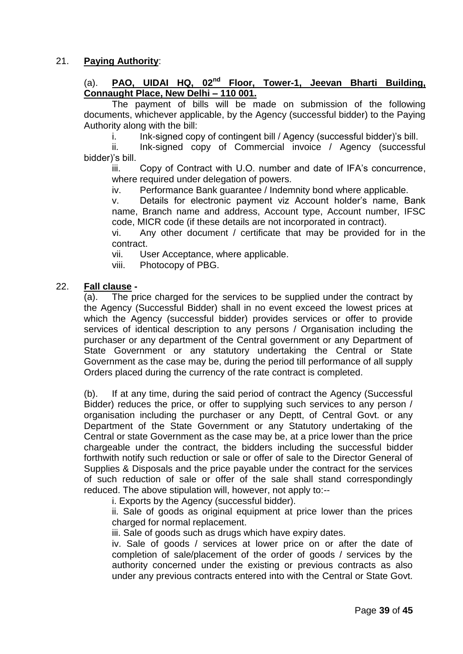# 21. **Paying Authority**:

# (a). **PAO, UIDAI HQ, 02<sup>nd</sup> Floor, Tower-1, Jeevan Bharti Building, Connaught Place, New Delhi – 110 001.**

The payment of bills will be made on submission of the following documents, whichever applicable, by the Agency (successful bidder) to the Paying Authority along with the bill:

i. Ink-signed copy of contingent bill / Agency (successful bidder)'s bill.

ii. Ink-signed copy of Commercial invoice / Agency (successful bidder)"s bill.

iii. Copy of Contract with U.O. number and date of IFA's concurrence, where required under delegation of powers.

iv. Performance Bank guarantee / Indemnity bond where applicable.

v. Details for electronic payment viz Account holder"s name, Bank name, Branch name and address, Account type, Account number, IFSC code, MICR code (if these details are not incorporated in contract).

vi. Any other document / certificate that may be provided for in the contract.

vii. User Acceptance, where applicable.

viii. Photocopy of PBG.

#### 22. **Fall clause -**

(a). The price charged for the services to be supplied under the contract by the Agency (Successful Bidder) shall in no event exceed the lowest prices at which the Agency (successful bidder) provides services or offer to provide services of identical description to any persons / Organisation including the purchaser or any department of the Central government or any Department of State Government or any statutory undertaking the Central or State Government as the case may be, during the period till performance of all supply Orders placed during the currency of the rate contract is completed.

(b). If at any time, during the said period of contract the Agency (Successful Bidder) reduces the price, or offer to supplying such services to any person / organisation including the purchaser or any Deptt, of Central Govt. or any Department of the State Government or any Statutory undertaking of the Central or state Government as the case may be, at a price lower than the price chargeable under the contract, the bidders including the successful bidder forthwith notify such reduction or sale or offer of sale to the Director General of Supplies & Disposals and the price payable under the contract for the services of such reduction of sale or offer of the sale shall stand correspondingly reduced. The above stipulation will, however, not apply to:--

i. Exports by the Agency (successful bidder).

ii. Sale of goods as original equipment at price lower than the prices charged for normal replacement.

iii. Sale of goods such as drugs which have expiry dates.

iv. Sale of goods / services at lower price on or after the date of completion of sale/placement of the order of goods / services by the authority concerned under the existing or previous contracts as also under any previous contracts entered into with the Central or State Govt.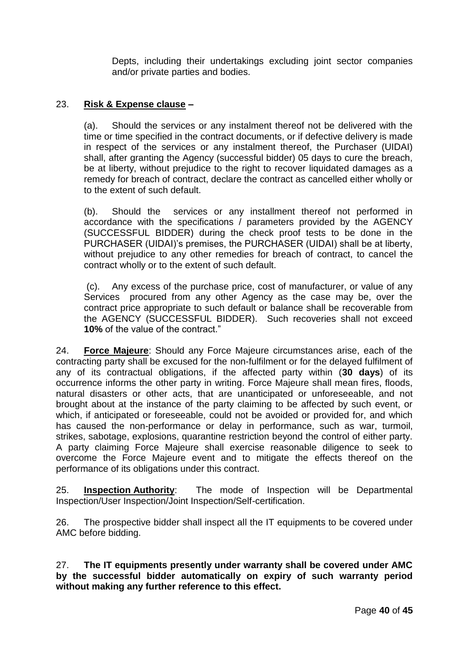Depts, including their undertakings excluding joint sector companies and/or private parties and bodies.

#### 23. **Risk & Expense clause –**

(a). Should the services or any instalment thereof not be delivered with the time or time specified in the contract documents, or if defective delivery is made in respect of the services or any instalment thereof, the Purchaser (UIDAI) shall, after granting the Agency (successful bidder) 05 days to cure the breach, be at liberty, without prejudice to the right to recover liquidated damages as a remedy for breach of contract, declare the contract as cancelled either wholly or to the extent of such default.

(b). Should the services or any installment thereof not performed in accordance with the specifications / parameters provided by the AGENCY (SUCCESSFUL BIDDER) during the check proof tests to be done in the PURCHASER (UIDAI)"s premises, the PURCHASER (UIDAI) shall be at liberty, without prejudice to any other remedies for breach of contract, to cancel the contract wholly or to the extent of such default.

(c). Any excess of the purchase price, cost of manufacturer, or value of any Services procured from any other Agency as the case may be, over the contract price appropriate to such default or balance shall be recoverable from the AGENCY (SUCCESSFUL BIDDER). Such recoveries shall not exceed **10%** of the value of the contract."

24. **Force Majeure**: Should any Force Majeure circumstances arise, each of the contracting party shall be excused for the non-fulfilment or for the delayed fulfilment of any of its contractual obligations, if the affected party within (**30 days**) of its occurrence informs the other party in writing. Force Majeure shall mean fires, floods, natural disasters or other acts, that are unanticipated or unforeseeable, and not brought about at the instance of the party claiming to be affected by such event, or which, if anticipated or foreseeable, could not be avoided or provided for, and which has caused the non-performance or delay in performance, such as war, turmoil, strikes, sabotage, explosions, quarantine restriction beyond the control of either party. A party claiming Force Majeure shall exercise reasonable diligence to seek to overcome the Force Majeure event and to mitigate the effects thereof on the performance of its obligations under this contract.

25. **Inspection Authority**: The mode of Inspection will be Departmental Inspection/User Inspection/Joint Inspection/Self-certification.

26. The prospective bidder shall inspect all the IT equipments to be covered under AMC before bidding.

27. **The IT equipments presently under warranty shall be covered under AMC by the successful bidder automatically on expiry of such warranty period without making any further reference to this effect.**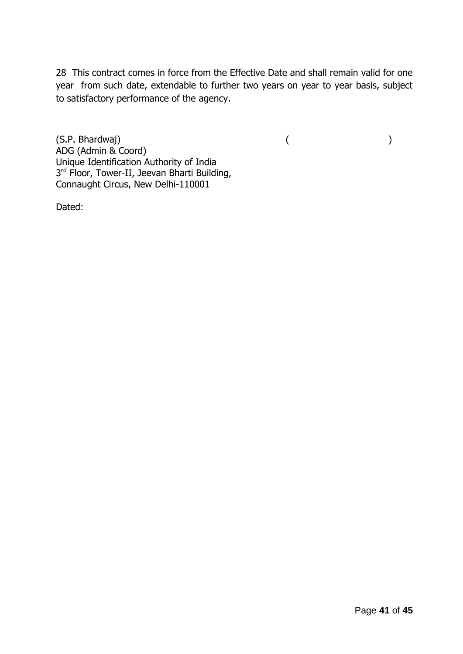28 This contract comes in force from the Effective Date and shall remain valid for one year from such date, extendable to further two years on year to year basis, subject to satisfactory performance of the agency.

(S.P. Bhardwaj) ( ) ADG (Admin & Coord) Unique Identification Authority of India 3<sup>rd</sup> Floor, Tower-II, Jeevan Bharti Building, Connaught Circus, New Delhi-110001

Dated: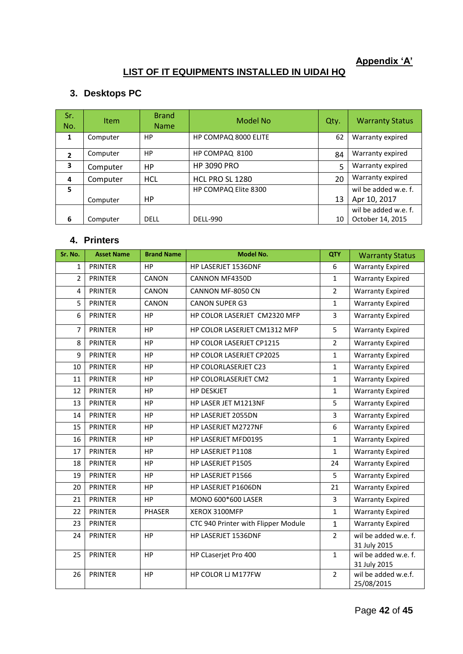# **Appendix 'A'**

# **LIST OF IT EQUIPMENTS INSTALLED IN UIDAI HQ**

# **3. Desktops PC**

| Sr.<br>No.     | <b>Item</b> | <b>Brand</b><br><b>Name</b> | Model No             | Qty. | <b>Warranty Status</b> |
|----------------|-------------|-----------------------------|----------------------|------|------------------------|
| $\mathbf{1}$   | Computer    | <b>HP</b>                   | HP COMPAQ 8000 ELITE | 62   | Warranty expired       |
| $\overline{2}$ | Computer    | <b>HP</b>                   | HP COMPAQ 8100       | 84   | Warranty expired       |
| 3              | Computer    | <b>HP</b>                   | <b>HP 3090 PRO</b>   | 5    | Warranty expired       |
| 4              | Computer    | <b>HCL</b>                  | HCL PRO SL 1280      | 20   | Warranty expired       |
| 5              |             |                             | HP COMPAQ Elite 8300 |      | wil be added w.e. f.   |
|                | Computer    | НP                          |                      | 13   | Apr 10, 2017           |
|                |             |                             |                      |      | wil be added w.e. f.   |
| 6              | Computer    | <b>DELL</b>                 | <b>DELL-990</b>      | 10   | October 14, 2015       |

#### **4. Printers**

| Sr. No.        | <b>Asset Name</b> | <b>Brand Name</b> | <b>Model No.</b>                    | <b>QTY</b>     | <b>Warranty Status</b>               |
|----------------|-------------------|-------------------|-------------------------------------|----------------|--------------------------------------|
| $\mathbf{1}$   | <b>PRINTER</b>    | <b>HP</b>         | HP LASERJET 1536DNF                 | 6              | <b>Warranty Expired</b>              |
| $\overline{2}$ | <b>PRINTER</b>    | CANON             | CANNON MF4350D                      | $\mathbf{1}$   | <b>Warranty Expired</b>              |
| $\overline{4}$ | <b>PRINTER</b>    | CANON             | CANNON MF-8050 CN                   | $\overline{2}$ | <b>Warranty Expired</b>              |
| 5              | <b>PRINTER</b>    | CANON             | <b>CANON SUPER G3</b>               | $\mathbf 1$    | <b>Warranty Expired</b>              |
| 6              | <b>PRINTER</b>    | HP                | HP COLOR LASERJET CM2320 MFP        | $\overline{3}$ | <b>Warranty Expired</b>              |
| $\overline{7}$ | <b>PRINTER</b>    | <b>HP</b>         | HP COLOR LASERJET CM1312 MFP        | 5              | <b>Warranty Expired</b>              |
| 8              | <b>PRINTER</b>    | HP                | HP COLOR LASERJET CP1215            | $\overline{2}$ | <b>Warranty Expired</b>              |
| 9              | <b>PRINTER</b>    | <b>HP</b>         | HP COLOR LASERJET CP2025            | $\mathbf{1}$   | <b>Warranty Expired</b>              |
| 10             | <b>PRINTER</b>    | HP                | HP COLORLASERJET C23                | $\mathbf 1$    | <b>Warranty Expired</b>              |
| 11             | <b>PRINTER</b>    | HP                | HP COLORLASERJET CM2                | $\mathbf{1}$   | <b>Warranty Expired</b>              |
| 12             | <b>PRINTER</b>    | <b>HP</b>         | <b>HP DESKJET</b>                   | $\mathbf{1}$   | <b>Warranty Expired</b>              |
| 13             | <b>PRINTER</b>    | HP                | HP LASER JET M1213NF                | 5              | <b>Warranty Expired</b>              |
| 14             | <b>PRINTER</b>    | HP                | HP LASERJET 2055DN                  | 3              | <b>Warranty Expired</b>              |
| 15             | <b>PRINTER</b>    | HP                | HP LASERJET M2727NF                 | 6              | <b>Warranty Expired</b>              |
| 16             | <b>PRINTER</b>    | HP                | HP LASERJET MFD0195                 | $\mathbf{1}$   | <b>Warranty Expired</b>              |
| 17             | <b>PRINTER</b>    | HP                | HP LASERJET P1108                   | $\mathbf{1}$   | <b>Warranty Expired</b>              |
| 18             | <b>PRINTER</b>    | HP                | HP LASERJET P1505                   | 24             | <b>Warranty Expired</b>              |
| 19             | <b>PRINTER</b>    | HP                | HP LASERJET P1566                   | 5              | <b>Warranty Expired</b>              |
| 20             | <b>PRINTER</b>    | HP                | HP LASERJET P1606DN                 | 21             | <b>Warranty Expired</b>              |
| 21             | <b>PRINTER</b>    | HP                | MONO 600*600 LASER                  | 3              | <b>Warranty Expired</b>              |
| 22             | <b>PRINTER</b>    | <b>PHASER</b>     | XEROX 3100MFP                       | $\mathbf{1}$   | <b>Warranty Expired</b>              |
| 23             | <b>PRINTER</b>    |                   | CTC 940 Printer with Flipper Module | $\mathbf{1}$   | <b>Warranty Expired</b>              |
| 24             | <b>PRINTER</b>    | HP                | HP LASERJET 1536DNF                 | $\overline{2}$ | wil be added w.e. f.<br>31 July 2015 |
| 25             | <b>PRINTER</b>    | HP                | HP CLaserjet Pro 400                | $\mathbf{1}$   | wil be added w.e. f.<br>31 July 2015 |
| 26             | <b>PRINTER</b>    | HP                | HP COLOR LJ M177FW                  | $\overline{2}$ | wil be added w.e.f.<br>25/08/2015    |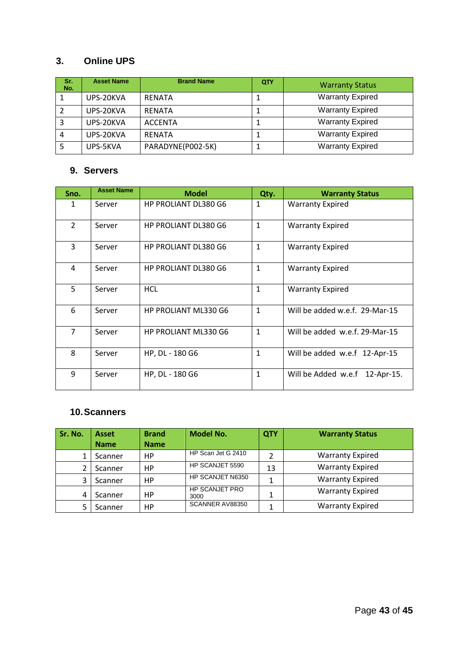# **3. Online UPS**

| Sr.<br>No. | <b>Asset Name</b> | <b>Brand Name</b> | QTY | <b>Warranty Status</b>  |
|------------|-------------------|-------------------|-----|-------------------------|
|            | UPS-20KVA         | <b>RENATA</b>     | J.  | <b>Warranty Expired</b> |
|            | UPS-20KVA         | <b>RENATA</b>     |     | <b>Warranty Expired</b> |
|            | UPS-20KVA         | <b>ACCENTA</b>    |     | <b>Warranty Expired</b> |
|            | UPS-20KVA         | <b>RFNATA</b>     | T   | <b>Warranty Expired</b> |
|            | UPS-5KVA          | PARADYNE(P002-5K) | ┹   | <b>Warranty Expired</b> |

# **9. Servers**

| Sno.           | <b>Asset Name</b> | <b>Model</b>                | Qty.         | <b>Warranty Status</b>         |
|----------------|-------------------|-----------------------------|--------------|--------------------------------|
| 1              | Server            | <b>HP PROLIANT DL380 G6</b> | $\mathbf{1}$ | <b>Warranty Expired</b>        |
| $\overline{2}$ | Server            | <b>HP PROLIANT DL380 G6</b> | $\mathbf{1}$ | <b>Warranty Expired</b>        |
| 3              | Server            | <b>HP PROLIANT DL380 G6</b> | $\mathbf{1}$ | <b>Warranty Expired</b>        |
| 4              | Server            | <b>HP PROLIANT DL380 G6</b> | $\mathbf{1}$ | <b>Warranty Expired</b>        |
| 5              | Server            | <b>HCL</b>                  | $\mathbf{1}$ | <b>Warranty Expired</b>        |
| 6              | Server            | HP PROLIANT ML330 G6        | 1            | Will be added w.e.f. 29-Mar-15 |
| $\overline{7}$ | Server            | HP PROLIANT ML330 G6        | $\mathbf{1}$ | Will be added w.e.f. 29-Mar-15 |
| 8              | Server            | HP, DL - 180 G6             | $\mathbf{1}$ | Will be added w.e.f 12-Apr-15  |
| 9              | Server            | HP, DL - 180 G6             | 1            | Will be Added w.e.f 12-Apr-15. |

# **10.Scanners**

| Sr. No. | <b>Asset</b> | <b>Brand</b> | <b>Model No.</b>       | QTY | <b>Warranty Status</b>  |
|---------|--------------|--------------|------------------------|-----|-------------------------|
|         | <b>Name</b>  | <b>Name</b>  |                        |     |                         |
|         | Scanner      | <b>HP</b>    | HP Scan Jet G 2410     |     | <b>Warranty Expired</b> |
|         | Scanner      | HP           | HP SCANJET 5590        | 13  | <b>Warranty Expired</b> |
| 3       | Scanner      | HP.          | HP SCANJET N6350       |     | <b>Warranty Expired</b> |
| 4       | Scanner      | НP           | HP SCANJET PRO<br>3000 |     | <b>Warranty Expired</b> |
|         | Scanner      | НP           | SCANNER AV88350        |     | <b>Warranty Expired</b> |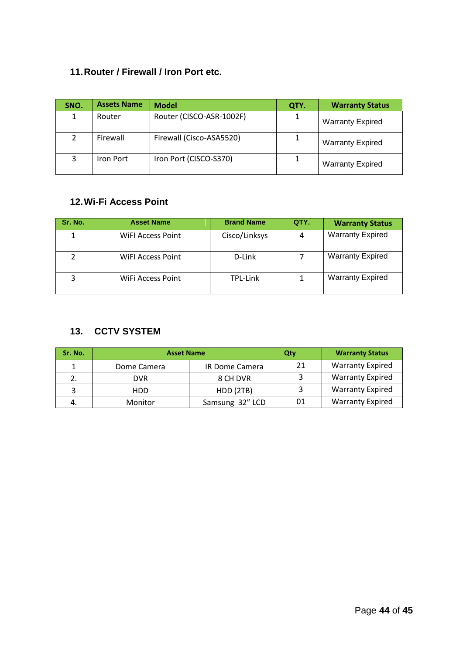# **11.Router / Firewall / Iron Port etc.**

| SNO. | <b>Assets Name</b> | <b>Model</b>             | QTY. | <b>Warranty Status</b>  |
|------|--------------------|--------------------------|------|-------------------------|
|      | Router             | Router (CISCO-ASR-1002F) |      | <b>Warranty Expired</b> |
|      | Firewall           | Firewall (Cisco-ASA5520) |      | <b>Warranty Expired</b> |
|      | Iron Port          | Iron Port (CISCO-S370)   |      | <b>Warranty Expired</b> |

# **12.Wi-Fi Access Point**

| Sr. No. | <b>Asset Name</b> | <b>Brand Name</b> | QTY. | <b>Warranty Status</b>  |
|---------|-------------------|-------------------|------|-------------------------|
|         | WIFI Access Point | Cisco/Linksys     | 4    | <b>Warranty Expired</b> |
|         | WIFI Access Point | D-Link            |      | <b>Warranty Expired</b> |
| 3       | WiFi Access Point | TPL-Link          |      | <b>Warranty Expired</b> |

# **13. CCTV SYSTEM**

| Sr. No. | <b>Asset Name</b> |                 | Qty | <b>Warranty Status</b>  |
|---------|-------------------|-----------------|-----|-------------------------|
|         | Dome Camera       | IR Dome Camera  | 21  | <b>Warranty Expired</b> |
|         | <b>DVR</b>        | 8 CH DVR        |     | <b>Warranty Expired</b> |
|         | HDD.              | HDD (2TB)       |     | <b>Warranty Expired</b> |
|         | Monitor           | Samsung 32" LCD | 01  | <b>Warranty Expired</b> |